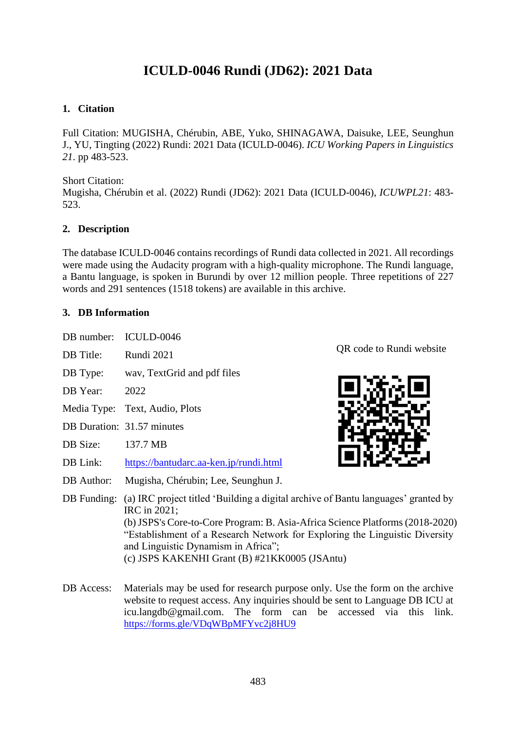# **ICULD-0046 Rundi (JD62): 2021 Data**

### **1. Citation**

Full Citation: MUGISHA, Chérubin, ABE, Yuko, SHINAGAWA, Daisuke, LEE, Seunghun J., YU, Tingting (2022) Rundi: 2021 Data (ICULD-0046). *ICU Working Papers in Linguistics 21*. pp 483-523.

Short Citation: Mugisha, Chérubin et al. (2022) Rundi (JD62): 2021 Data (ICULD-0046), *ICUWPL21*: 483- 523.

### **2. Description**

The database ICULD-0046 contains recordings of Rundi data collected in 2021. All recordings were made using the Audacity program with a high-quality microphone. The Rundi language, a Bantu language, is spoken in Burundi by over 12 million people. Three repetitions of 227 words and 291 sentences (1518 tokens) are available in this archive.

#### **3. DB Information**

| DB number:  | ICULD-0046                                                                                                                                                                                                                                                                                                                                                |                          |
|-------------|-----------------------------------------------------------------------------------------------------------------------------------------------------------------------------------------------------------------------------------------------------------------------------------------------------------------------------------------------------------|--------------------------|
| DB Title:   | Rundi 2021                                                                                                                                                                                                                                                                                                                                                | QR code to Rundi website |
| DB Type:    | way, TextGrid and pdf files                                                                                                                                                                                                                                                                                                                               |                          |
| DB Year:    | 2022                                                                                                                                                                                                                                                                                                                                                      |                          |
| Media Type: | Text, Audio, Plots                                                                                                                                                                                                                                                                                                                                        |                          |
|             | DB Duration: 31.57 minutes                                                                                                                                                                                                                                                                                                                                |                          |
| DB Size:    | 137.7 MB                                                                                                                                                                                                                                                                                                                                                  |                          |
| DB Link:    | https://bantudarc.aa-ken.jp/rundi.html                                                                                                                                                                                                                                                                                                                    |                          |
| DB Author:  | Mugisha, Chérubin; Lee, Seunghun J.                                                                                                                                                                                                                                                                                                                       |                          |
| DB Funding: | (a) IRC project titled 'Building a digital archive of Bantu languages' granted by<br>IRC in 2021;<br>(b) JSPS's Core-to-Core Program: B. Asia-Africa Science Platforms (2018-2020)<br>"Establishment of a Research Network for Exploring the Linguistic Diversity<br>and Linguistic Dynamism in Africa";<br>(c) JSPS KAKENHI Grant (B) #21KK0005 (JSAntu) |                          |
| DB Access:  | Materials may be used for research purpose only. Use the form on the archive<br>website to request access. Any inquiries should be sent to Language DB ICU at                                                                                                                                                                                             |                          |

site to request access. Any inquiries should be sent to Language DB ICU at [icu.langdb@gmail.com.](mailto:icu.langdb@gmail.com) The form can be accessed via this link. <https://forms.gle/VDqWBpMFYvc2j8HU9>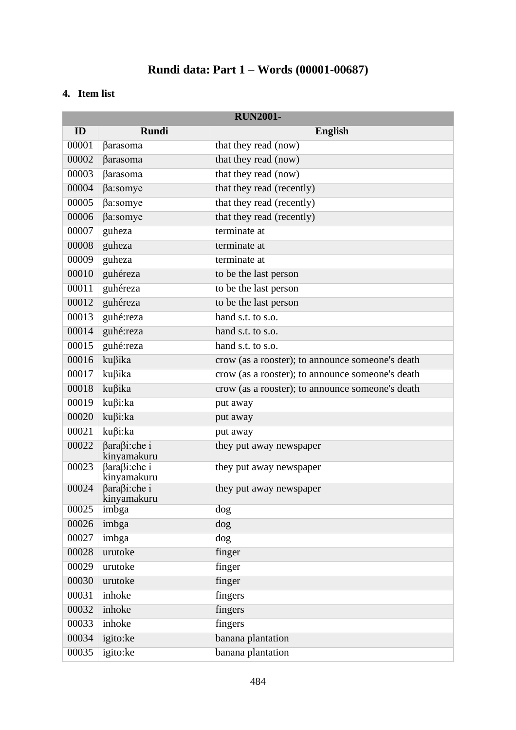# **Rundi data: Part 1 – Words (00001-00687)**

## **4. Item list**

|       | <b>RUN2001-</b>                     |                                                  |  |
|-------|-------------------------------------|--------------------------------------------------|--|
| ID    | <b>Rundi</b>                        | <b>English</b>                                   |  |
| 00001 | βarasoma                            | that they read (now)                             |  |
| 00002 | βarasoma                            | that they read (now)                             |  |
| 00003 | βarasoma                            | that they read (now)                             |  |
| 00004 | $\beta$ a:somye                     | that they read (recently)                        |  |
| 00005 | βa:somye                            | that they read (recently)                        |  |
| 00006 | βa:somye                            | that they read (recently)                        |  |
| 00007 | guheza                              | terminate at                                     |  |
| 00008 | guheza                              | terminate at                                     |  |
| 00009 | guheza                              | terminate at                                     |  |
| 00010 | guhéreza                            | to be the last person                            |  |
| 00011 | guhéreza                            | to be the last person                            |  |
| 00012 | guhéreza                            | to be the last person                            |  |
| 00013 | guhé:reza                           | hand s.t. to s.o.                                |  |
| 00014 | guhé:reza                           | hand s.t. to s.o.                                |  |
| 00015 | guhé:reza                           | hand s.t. to s.o.                                |  |
| 00016 | kuβika                              | crow (as a rooster); to announce someone's death |  |
| 00017 | kuβika                              | crow (as a rooster); to announce someone's death |  |
| 00018 | kuβika                              | crow (as a rooster); to announce someone's death |  |
| 00019 | kuβi:ka                             | put away                                         |  |
| 00020 | kuβi:ka                             | put away                                         |  |
| 00021 | kuβi:ka                             | put away                                         |  |
| 00022 | <b>βaraβi:che i</b><br>kinyamakuru  | they put away newspaper                          |  |
| 00023 | <b>βara</b> βi:che i<br>kinyamakuru | they put away newspaper                          |  |
| 00024 | βaraβi:che i<br>kinyamakuru         | they put away newspaper                          |  |
| 00025 | imbga                               | dog                                              |  |
| 00026 | imbga                               | dog                                              |  |
| 00027 | imbga                               | dog                                              |  |
| 00028 | urutoke                             | finger                                           |  |
| 00029 | urutoke                             | finger                                           |  |
| 00030 | urutoke                             | finger                                           |  |
| 00031 | inhoke                              | fingers                                          |  |
| 00032 | inhoke                              | fingers                                          |  |
| 00033 | inhoke                              | fingers                                          |  |
| 00034 | igito:ke                            | banana plantation                                |  |
| 00035 | igito:ke                            | banana plantation                                |  |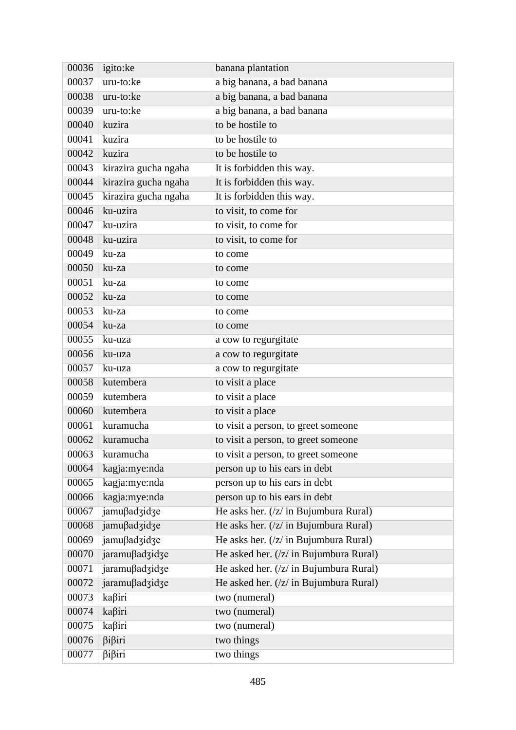| 00036 | igito:ke              | banana plantation                                |
|-------|-----------------------|--------------------------------------------------|
| 00037 | uru-to:ke             | a big banana, a bad banana                       |
| 00038 | uru-to:ke             | a big banana, a bad banana                       |
| 00039 | $uru-to:ke$           | a big banana, a bad banana                       |
| 00040 | kuzira                | to be hostile to                                 |
| 00041 | kuzira                | to be hostile to                                 |
| 00042 | kuzira                | to be hostile to                                 |
| 00043 | kirazira gucha ngaha  | It is forbidden this way.                        |
| 00044 | kirazira gucha ngaha  | It is forbidden this way.                        |
| 00045 | kirazira gucha ngaha  | It is forbidden this way.                        |
| 00046 | ku-uzira              | to visit, to come for                            |
| 00047 | ku-uzira              | to visit, to come for                            |
| 00048 | ku-uzira              | to visit, to come for                            |
| 00049 | ku-za                 | to come                                          |
| 00050 | ku-za                 | to come                                          |
| 00051 | ku-za                 | to come                                          |
| 00052 | ku-za                 | to come                                          |
| 00053 | ku-za                 | to come                                          |
| 00054 | ku-za                 | to come                                          |
| 00055 | ku-uza                | a cow to regurgitate                             |
| 00056 | ku-uza                | a cow to regurgitate                             |
| 00057 | ku-uza                | a cow to regurgitate                             |
| 00058 | kutembera             | to visit a place                                 |
| 00059 | kutembera             | to visit a place                                 |
| 00060 | kutembera             | to visit a place                                 |
| 00061 | kuramucha             | to visit a person, to greet someone              |
| 00062 | kuramucha             | to visit a person, to greet someone              |
| 00063 | kuramucha             | to visit a person, to greet someone              |
| 00064 | kagja: mye: nda       | person up to his ears in debt                    |
| 00065 | kagja: mye: nda       | person up to his ears in debt                    |
| 00066 | kagja:mye:nda         | person up to his ears in debt                    |
| 00067 | jamußadzidze          | He asks her. $(\frac{z}{i})$ in Bujumbura Rural) |
| 00068 | jamußadzidze          | He asks her. (/z/ in Bujumbura Rural)            |
| 00069 | jamußadzidze          | He asks her. (/z/ in Bujumbura Rural)            |
| 00070 | jaramußadzidze        | He asked her. (/z/ in Bujumbura Rural)           |
| 00071 | jaramußadzidze        | He asked her. (/z/ in Bujumbura Rural)           |
| 00072 | jaramußadzidze        | He asked her. (/z/ in Bujumbura Rural)           |
| 00073 | kaßiri                | two (numeral)                                    |
| 00074 | kaβiri                | two (numeral)                                    |
| 00075 | kaβiri                | two (numeral)                                    |
| 00076 | $\beta$ i $\beta$ iri | two things                                       |
| 00077 | $\beta$ i $\beta$ iri | two things                                       |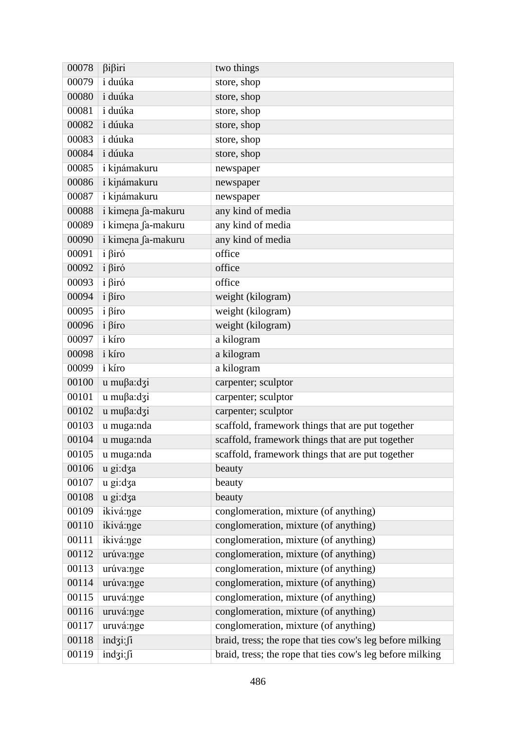| 00078              | $\beta$ i $\beta$ iri    | two things                                                |
|--------------------|--------------------------|-----------------------------------------------------------|
| 00079              | <i>i</i> duúka           | store, shop                                               |
| 00080              | <i>i</i> duúka           | store, shop                                               |
| 00081              | <i>i</i> duúka           | store, shop                                               |
| 00082              | i dúuka                  | store, shop                                               |
| 00083              | <i>i</i> dúuka           | store, shop                                               |
| 00084              | i dúuka                  | store, shop                                               |
| 00085              | i kinámakuru             | newspaper                                                 |
| 00086              | i kipámakuru             | newspaper                                                 |
| 00087              | i kinámakuru             | newspaper                                                 |
| 00088              | i kimena fa-makuru       | any kind of media                                         |
| 00089              | i kimena fa-makuru       | any kind of media                                         |
| 00090              | i kimena fa-makuru       | any kind of media                                         |
| 00091              | $i \overline{\beta}$ iró | office                                                    |
| 00092              | $i \beta$ iró            | office                                                    |
| 00093              | $i \beta$ iró            | office                                                    |
| 00094              | $i \beta$ iro            | weight (kilogram)                                         |
| 00095              | $i \beta$ iro            | weight (kilogram)                                         |
| 00096              | $i \beta$ iro            | weight (kilogram)                                         |
| 00097              | i kíro                   | a kilogram                                                |
| 00098              | i kíro                   | a kilogram                                                |
| 00099              | i kíro                   | a kilogram                                                |
| 00100              | u mußa:dzi               | carpenter; sculptor                                       |
| 00101              | u mußa:dzi               | carpenter; sculptor                                       |
| 00102              | u mußa:dzi               | carpenter; sculptor                                       |
| 00103              | u muga:nda               | scaffold, framework things that are put together          |
| 00104              | u muga:nda               | scaffold, framework things that are put together          |
| 00105              | u muga:nda               | scaffold, framework things that are put together          |
| 00106              | u gi:dʒa                 | beauty                                                    |
| 00107              | u gi:dʒa                 | beauty                                                    |
| 00108              | u gi:dʒa                 | beauty                                                    |
| 00109              | ikivá:nge                | conglomeration, mixture (of anything)                     |
| 00110              | ikivá:nge                | conglomeration, mixture (of anything)                     |
| 00111              | ikivá:nge                | conglomeration, mixture (of anything)                     |
| 00112              | urúva:nge                | conglomeration, mixture (of anything)                     |
| $\overline{001}13$ | urúva:nge                | conglomeration, mixture (of anything)                     |
| 00114              | urúva:nge                | conglomeration, mixture (of anything)                     |
| 00115              | uruvá:nge                | conglomeration, mixture (of anything)                     |
| 00116              | uruvá:nge                | conglomeration, mixture (of anything)                     |
| 00117              | uruvá:nge                | conglomeration, mixture (of anything)                     |
| 00118              | indzi:fi                 | braid, tress; the rope that ties cow's leg before milking |
| 00119              | indzi:fi                 | braid, tress; the rope that ties cow's leg before milking |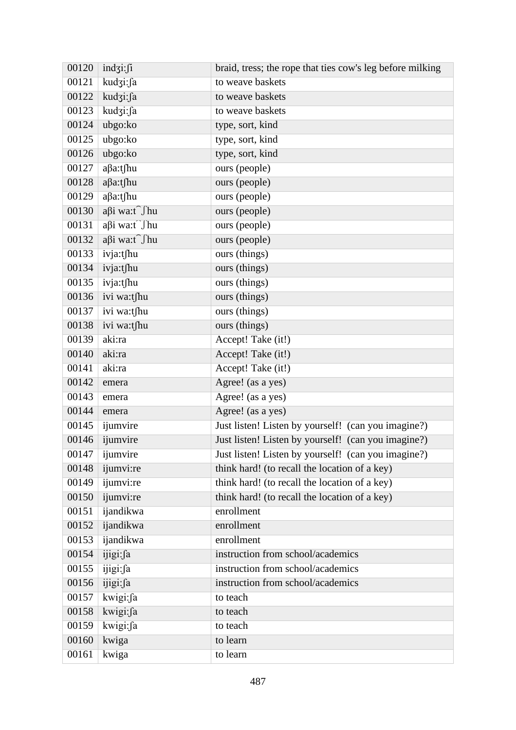| 00120 | indzi:fi                      | braid, tress; the rope that ties cow's leg before milking |
|-------|-------------------------------|-----------------------------------------------------------|
| 00121 | kudzi:fa                      | to weave baskets                                          |
| 00122 | kudzi:fa                      | to weave baskets                                          |
| 00123 | kudzi:fa                      | to weave baskets                                          |
| 00124 | ubgo:ko                       | type, sort, kind                                          |
| 00125 | ubgo:ko                       | type, sort, kind                                          |
| 00126 | ubgo:ko                       | type, sort, kind                                          |
| 00127 | aβa:t∫hu                      | ours (people)                                             |
| 00128 | $a\beta a$ :tfhu              | ours (people)                                             |
| 00129 | aβa:t∫hu                      | ours (people)                                             |
| 00130 | $a\beta i$ wa:t $\int hu$     | ours (people)                                             |
| 00131 | $a\beta i$ wa: $f$ $\int h u$ | ours (people)                                             |
| 00132 | $a\beta i$ wa:t $\int hu$     | ours (people)                                             |
| 00133 | ivja:tʃhu                     | ours (things)                                             |
| 00134 | ivja:tʃhu                     | ours (things)                                             |
| 00135 | ivja:tʃhu                     | ours (things)                                             |
| 00136 | ivi wa:tʃhu                   | ours (things)                                             |
| 00137 | ivi wa:tʃhu                   | ours (things)                                             |
| 00138 | ivi wa:tʃhu                   | ours (things)                                             |
| 00139 | aki:ra                        | Accept! Take (it!)                                        |
| 00140 | aki:ra                        | Accept! Take (it!)                                        |
| 00141 | aki:ra                        | Accept! Take (it!)                                        |
| 00142 | emera                         | Agree! (as a yes)                                         |
| 00143 | emera                         | Agree! (as a yes)                                         |
| 00144 | emera                         | Agree! (as a yes)                                         |
| 00145 | ijumvire                      | Just listen! Listen by yourself! (can you imagine?)       |
| 00146 | ijumvire                      | Just listen! Listen by yourself! (can you imagine?)       |
| 00147 | ijumvire                      | Just listen! Listen by yourself! (can you imagine?)       |
| 00148 | ijumvi:re                     | think hard! (to recall the location of a key)             |
| 00149 | ijumvi:re                     | think hard! (to recall the location of a key)             |
| 00150 | ijumvi:re                     | think hard! (to recall the location of a key)             |
| 00151 | ijandikwa                     | enrollment                                                |
| 00152 | ijandikwa                     | enrollment                                                |
| 00153 | ijandikwa                     | enrollment                                                |
| 00154 | ijigi:fa                      | instruction from school/academics                         |
| 00155 | ijigi:fa                      | instruction from school/academics                         |
| 00156 | ijigi:fa                      | instruction from school/academics                         |
| 00157 | kwigi:fa                      | to teach                                                  |
| 00158 | kwigi:fa                      | to teach                                                  |
| 00159 | kwigi: fa                     | to teach                                                  |
| 00160 | kwiga                         | to learn                                                  |
| 00161 | kwiga                         | to learn                                                  |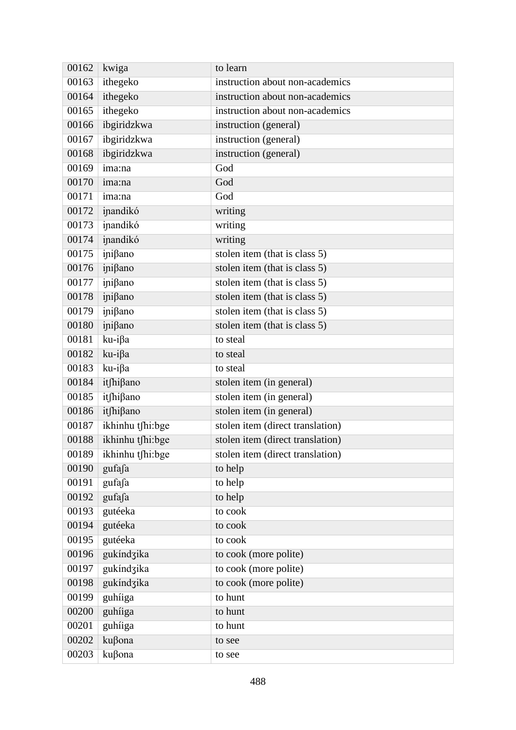| 00162 | kwiga            | to learn                         |
|-------|------------------|----------------------------------|
| 00163 | ithegeko         | instruction about non-academics  |
| 00164 | ithegeko         | instruction about non-academics  |
| 00165 | ithegeko         | instruction about non-academics  |
| 00166 | ibgiridzkwa      | instruction (general)            |
| 00167 | ibgiridzkwa      | instruction (general)            |
| 00168 | ibgiridzkwa      | instruction (general)            |
| 00169 | ima:na           | God                              |
| 00170 | ima:na           | God                              |
| 00171 | ima:na           | God                              |
| 00172 | ipandikó         | writing                          |
| 00173 | inandikó         | writing                          |
| 00174 | inandikó         | writing                          |
| 00175 | iniβano          | stolen item (that is class 5)    |
| 00176 | inißano          | stolen item (that is class 5)    |
| 00177 | inißano          | stolen item (that is class 5)    |
| 00178 | inißano          | stolen item (that is class 5)    |
| 00179 | iniβano          | stolen item (that is class 5)    |
| 00180 | inißano          | stolen item (that is class 5)    |
| 00181 | ku-iβa           | to steal                         |
| 00182 | ku-iβa           | to steal                         |
| 00183 | ku-iβa           | to steal                         |
| 00184 | itfhißano        | stolen item (in general)         |
| 00185 | itfhißano        | stolen item (in general)         |
| 00186 | itfhißano        | stolen item (in general)         |
| 00187 | ikhinhu tʃhi:bge | stolen item (direct translation) |
| 00188 | ikhinhu tfhi:bge | stolen item (direct translation) |
| 00189 | ikhinhu tfhi:bge | stolen item (direct translation) |
| 00190 | gufafa           | to help                          |
| 00191 | gufafa           | to help                          |
| 00192 | gufafa           | to help                          |
| 00193 | gutéeka          | to cook                          |
| 00194 | gutéeka          | to cook                          |
| 00195 | gutéeka          | to cook                          |
| 00196 | gukíndzika       | to cook (more polite)            |
| 00197 | gukíndzika       | to cook (more polite)            |
| 00198 | gukíndzika       | to cook (more polite)            |
| 00199 | guhíiga          | to hunt                          |
| 00200 | guhíiga          | to hunt                          |
| 00201 | guhíiga          | to hunt                          |
| 00202 | kuβona           | to see                           |
| 00203 | kuβona           | to see                           |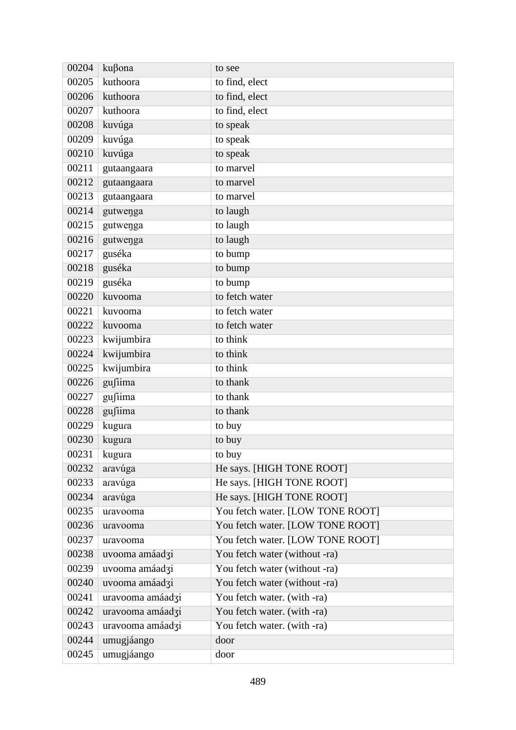| 00204 | kuβona           | to see                           |
|-------|------------------|----------------------------------|
| 00205 | kuthoora         | to find, elect                   |
| 00206 | kuthoora         | to find, elect                   |
| 00207 | kuthoora         | to find, elect                   |
| 00208 | kuvúga           | to speak                         |
| 00209 | kuvúga           | to speak                         |
| 00210 | kuvúga           | to speak                         |
| 00211 | gutaangaara      | to marvel                        |
| 00212 | gutaangaara      | to marvel                        |
| 00213 | gutaangaara      | to marvel                        |
| 00214 | gutwenga         | to laugh                         |
| 00215 | gutwenga         | to laugh                         |
| 00216 | gutwenga         | to laugh                         |
| 00217 | guséka           | to bump                          |
| 00218 | guséka           | to bump                          |
| 00219 | guséka           | to bump                          |
| 00220 | kuvooma          | to fetch water                   |
| 00221 | kuvooma          | to fetch water                   |
| 00222 | kuvooma          | to fetch water                   |
| 00223 | kwijumbira       | to think                         |
| 00224 | kwijumbira       | to think                         |
| 00225 | kwijumbira       | to think                         |
| 00226 | gufiima          | to thank                         |
| 00227 | gufiima          | to thank                         |
| 00228 | gusima           | to thank                         |
| 00229 | kugura           | to buy                           |
| 00230 | kugura           | to buy                           |
| 00231 | kugura           | to buy                           |
| 00232 | aravúga          | He says. [HIGH TONE ROOT]        |
| 00233 | aravúga          | He says. [HIGH TONE ROOT]        |
| 00234 | aravúga          | He says. [HIGH TONE ROOT]        |
| 00235 | uravooma         | You fetch water. [LOW TONE ROOT] |
| 00236 | uravooma         | You fetch water. [LOW TONE ROOT] |
| 00237 | uravooma         | You fetch water. [LOW TONE ROOT] |
| 00238 | uvooma amáadzi   | You fetch water (without -ra)    |
| 00239 | uvooma amáadzi   | You fetch water (without -ra)    |
| 00240 | uvooma amáadzi   | You fetch water (without -ra)    |
| 00241 | uravooma amáadzi | You fetch water. (with -ra)      |
| 00242 | uravooma amáadzi | You fetch water. (with -ra)      |
| 00243 | uravooma amáadzi | You fetch water. (with -ra)      |
| 00244 | umugjáango       | door                             |
| 00245 | umugjáango       | door                             |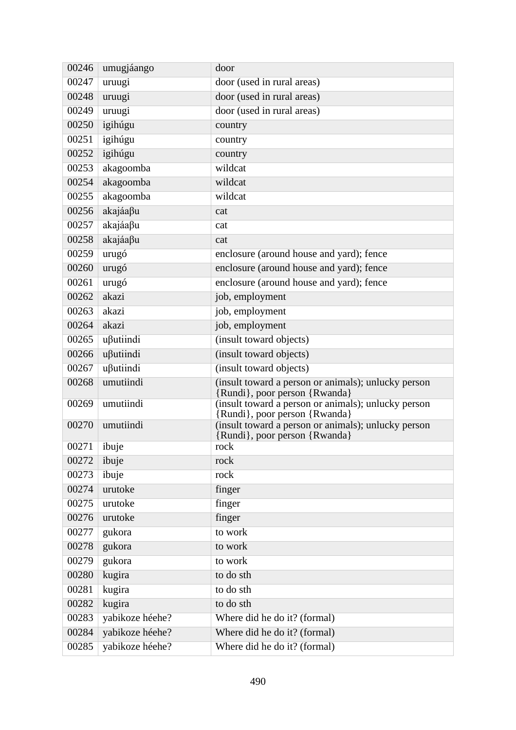| 00246 | umugjáango      | door                                                                                 |
|-------|-----------------|--------------------------------------------------------------------------------------|
| 00247 | uruugi          | door (used in rural areas)                                                           |
| 00248 | uruugi          | door (used in rural areas)                                                           |
| 00249 | uruugi          | door (used in rural areas)                                                           |
| 00250 | igihúgu         | country                                                                              |
| 00251 | igihúgu         | country                                                                              |
| 00252 | igihúgu         | country                                                                              |
| 00253 | akagoomba       | wildcat                                                                              |
| 00254 | akagoomba       | wildcat                                                                              |
| 00255 | akagoomba       | wildcat                                                                              |
| 00256 | akajáaβu        | cat                                                                                  |
| 00257 | akajáaβu        | cat                                                                                  |
| 00258 | akajáaβu        | cat                                                                                  |
| 00259 | urugó           | enclosure (around house and yard); fence                                             |
| 00260 | urugó           | enclosure (around house and yard); fence                                             |
| 00261 | urugó           | enclosure (around house and yard); fence                                             |
| 00262 | akazi           | job, employment                                                                      |
| 00263 | akazi           | job, employment                                                                      |
| 00264 | akazi           | job, employment                                                                      |
| 00265 | uβutiindi       | (insult toward objects)                                                              |
| 00266 | ußutiindi       | (insult toward objects)                                                              |
| 00267 | ußutiindi       | (insult toward objects)                                                              |
| 00268 | umutiindi       | (insult toward a person or animals); unlucky person<br>{Rundi}, poor person {Rwanda} |
| 00269 | umutiindi       | (insult toward a person or animals); unlucky person<br>{Rundi}, poor person {Rwanda} |
| 00270 | umutiindi       | (insult toward a person or animals); unlucky person<br>{Rundi}, poor person {Rwanda} |
| 00271 | ibuje           | rock                                                                                 |
| 00272 | ibuje           | rock                                                                                 |
| 00273 | ibuje           | rock                                                                                 |
| 00274 | urutoke         | finger                                                                               |
| 00275 | urutoke         | finger                                                                               |
| 00276 | urutoke         | finger                                                                               |
| 00277 | gukora          | to work                                                                              |
| 00278 | gukora          | to work                                                                              |
| 00279 | gukora          | to work                                                                              |
| 00280 | kugira          | to do sth                                                                            |
| 00281 | kugira          | to do sth                                                                            |
| 00282 | kugira          | to do sth                                                                            |
| 00283 | yabikoze héehe? | Where did he do it? (formal)                                                         |
| 00284 | yabikoze héehe? | Where did he do it? (formal)                                                         |
| 00285 | yabikoze héehe? | Where did he do it? (formal)                                                         |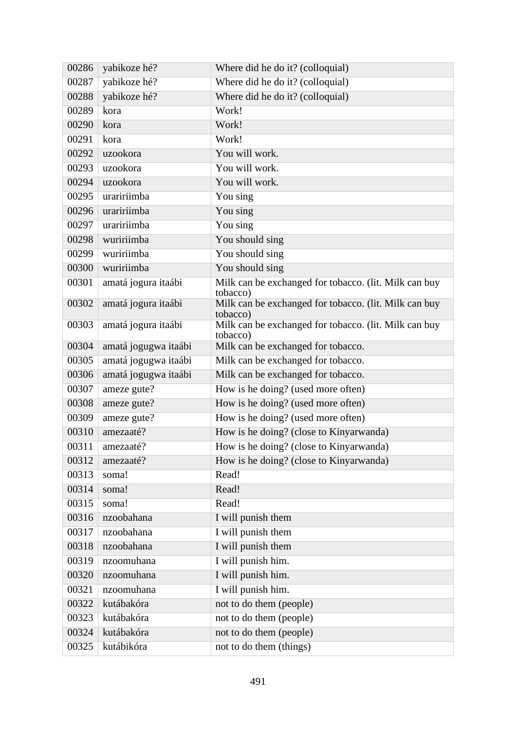| 00286 | yabikoze hé?         | Where did he do it? (colloquial)                                  |
|-------|----------------------|-------------------------------------------------------------------|
| 00287 | yabikoze hé?         | Where did he do it? (colloquial)                                  |
| 00288 | yabikoze hé?         | Where did he do it? (colloquial)                                  |
| 00289 | kora                 | Work!                                                             |
| 00290 | kora                 | Work!                                                             |
| 00291 | kora                 | Work!                                                             |
| 00292 | uzookora             | You will work.                                                    |
| 00293 | uzookora             | You will work.                                                    |
| 00294 | uzookora             | You will work.                                                    |
| 00295 | uraririimba          | You sing                                                          |
| 00296 | uraririimba          | You sing                                                          |
| 00297 | uraririimba          | You sing                                                          |
| 00298 | wuririimba           | You should sing                                                   |
| 00299 | wuririimba           | You should sing                                                   |
| 00300 | wuririimba           | You should sing                                                   |
| 00301 | amatá jogura itaábi  | Milk can be exchanged for tobacco. (lit. Milk can buy<br>tobacco) |
| 00302 | amatá jogura itaábi  | Milk can be exchanged for tobacco. (lit. Milk can buy<br>tobacco) |
| 00303 | amatá jogura itaábi  | Milk can be exchanged for tobacco. (lit. Milk can buy<br>tobacco) |
| 00304 | amatá jogugwa itaábi | Milk can be exchanged for tobacco.                                |
| 00305 | amatá jogugwa itaábi | Milk can be exchanged for tobacco.                                |
| 00306 | amatá jogugwa itaábi | Milk can be exchanged for tobacco.                                |
| 00307 | ameze gute?          | How is he doing? (used more often)                                |
| 00308 | ameze gute?          | How is he doing? (used more often)                                |
| 00309 | ameze gute?          | How is he doing? (used more often)                                |
| 00310 | amezaaté?            | How is he doing? (close to Kinyarwanda)                           |
| 00311 | amezaaté?            | How is he doing? (close to Kinyarwanda)                           |
| 00312 | amezaaté?            | How is he doing? (close to Kinyarwanda)                           |
| 00313 | soma!                | Read!                                                             |
| 00314 | soma!                | Read!                                                             |
| 00315 | soma!                | Read!                                                             |
| 00316 | nzoobahana           | I will punish them                                                |
| 00317 | nzoobahana           | I will punish them                                                |
| 00318 | nzoobahana           | I will punish them                                                |
| 00319 | nzoomuhana           | I will punish him.                                                |
| 00320 | nzoomuhana           | I will punish him.                                                |
| 00321 | nzoomuhana           | I will punish him.                                                |
| 00322 | kutábakóra           | not to do them (people)                                           |
| 00323 | kutábakóra           | not to do them (people)                                           |
| 00324 | kutábakóra           | not to do them (people)                                           |
| 00325 | kutábikóra           | not to do them (things)                                           |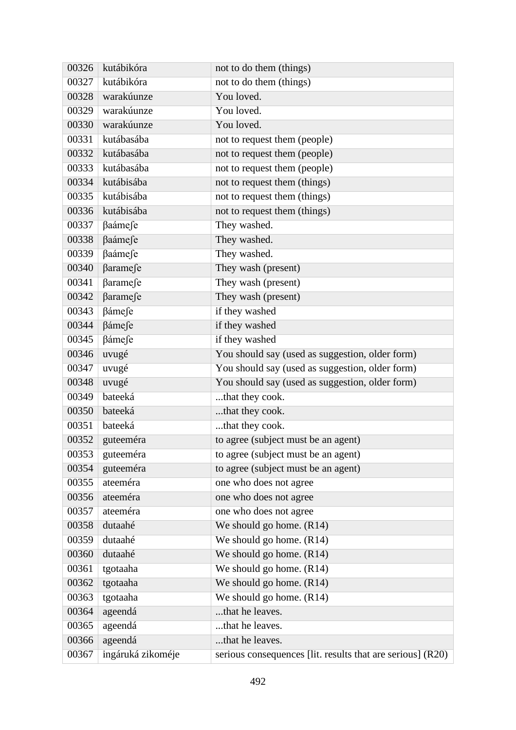| 00326 | kutábikóra            | not to do them (things)                                    |
|-------|-----------------------|------------------------------------------------------------|
| 00327 | kutábikóra            | not to do them (things)                                    |
| 00328 | warakúunze            | You loved.                                                 |
| 00329 | warakúunze            | You loved.                                                 |
| 00330 | warakúunze            | You loved.                                                 |
| 00331 | kutábasába            | not to request them (people)                               |
| 00332 | kutábasába            | not to request them (people)                               |
| 00333 | kutábasába            | not to request them (people)                               |
| 00334 | kutábisába            | not to request them (things)                               |
| 00335 | kutábisába            | not to request them (things)                               |
| 00336 | kutábisába            | not to request them (things)                               |
| 00337 | βaámese               | They washed.                                               |
| 00338 | βaámese               | They washed.                                               |
| 00339 | βaámese               | They washed.                                               |
| 00340 | βarame∫e              | They wash (present)                                        |
| 00341 | βarame fe             | They wash (present)                                        |
| 00342 | βarame <sub>s</sub> e | They wash (present)                                        |
| 00343 | βámese                | if they washed                                             |
| 00344 | βámese                | if they washed                                             |
| 00345 | βámese                | if they washed                                             |
| 00346 | uvugé                 | You should say (used as suggestion, older form)            |
| 00347 | uvugé                 | You should say (used as suggestion, older form)            |
| 00348 | uvugé                 | You should say (used as suggestion, older form)            |
| 00349 | bateeká               | that they cook.                                            |
| 00350 | bateeká               | that they cook.                                            |
| 00351 | bateeká               | that they cook.                                            |
| 00352 | guteeméra             | to agree (subject must be an agent)                        |
| 00353 | guteeméra             | to agree (subject must be an agent)                        |
| 00354 | guteeméra             | to agree (subject must be an agent)                        |
| 00355 | ateeméra              | one who does not agree                                     |
| 00356 | ateeméra              | one who does not agree                                     |
| 00357 | ateeméra              | one who does not agree                                     |
| 00358 | dutaahé               | We should go home. (R14)                                   |
| 00359 | dutaahé               | We should go home. (R14)                                   |
| 00360 | dutaahé               | We should go home. (R14)                                   |
| 00361 | tgotaaha              | We should go home. (R14)                                   |
| 00362 | tgotaaha              | We should go home. (R14)                                   |
| 00363 | tgotaaha              | We should go home. $(R14)$                                 |
| 00364 | ageendá               | that he leaves.                                            |
| 00365 | ageendá               | that he leaves.                                            |
| 00366 | ageendá               | that he leaves.                                            |
| 00367 | ingáruká zikoméje     | serious consequences [lit. results that are serious] (R20) |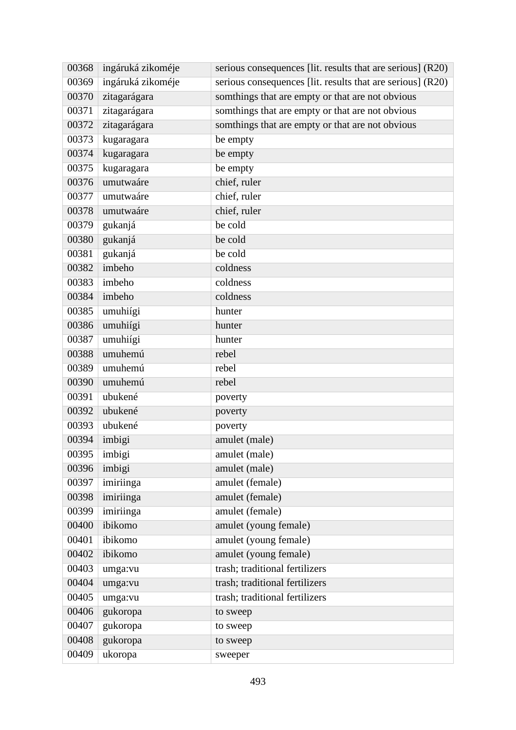| 00368 | ingáruká zikoméje | serious consequences [lit. results that are serious] (R20) |
|-------|-------------------|------------------------------------------------------------|
| 00369 | ingáruká zikoméje | serious consequences [lit. results that are serious] (R20) |
| 00370 | zitagarágara      | somthings that are empty or that are not obvious           |
| 00371 | zitagarágara      | somthings that are empty or that are not obvious           |
| 00372 | zitagarágara      | somthings that are empty or that are not obvious           |
| 00373 | kugaragara        | be empty                                                   |
| 00374 | kugaragara        | be empty                                                   |
| 00375 | kugaragara        | be empty                                                   |
| 00376 | umutwaáre         | chief, ruler                                               |
| 00377 | umutwaáre         | chief, ruler                                               |
| 00378 | umutwaáre         | chief, ruler                                               |
| 00379 | gukanjá           | be cold                                                    |
| 00380 | gukanjá           | be cold                                                    |
| 00381 | gukanjá           | be cold                                                    |
| 00382 | imbeho            | coldness                                                   |
| 00383 | imbeho            | coldness                                                   |
| 00384 | imbeho            | coldness                                                   |
| 00385 | umuhiígi          | hunter                                                     |
| 00386 | umuhiígi          | hunter                                                     |
| 00387 | umuhiígi          | hunter                                                     |
| 00388 | umuhemú           | rebel                                                      |
| 00389 | umuhemú           | rebel                                                      |
| 00390 | umuhemú           | rebel                                                      |
| 00391 | ubukené           | poverty                                                    |
| 00392 | ubukené           | poverty                                                    |
| 00393 | ubukené           | poverty                                                    |
| 00394 | imbigi            | amulet (male)                                              |
| 00395 | imbigi            | amulet (male)                                              |
| 00396 | imbigi            | amulet (male)                                              |
| 00397 | imiriinga         | amulet (female)                                            |
| 00398 | imiriinga         | amulet (female)                                            |
| 00399 | imiriinga         | amulet (female)                                            |
| 00400 | ibikomo           | amulet (young female)                                      |
| 00401 | ibikomo           | amulet (young female)                                      |
| 00402 | ibikomo           | amulet (young female)                                      |
| 00403 | umga:vu           | trash; traditional fertilizers                             |
| 00404 | umga:vu           | trash; traditional fertilizers                             |
| 00405 | umga:vu           | trash; traditional fertilizers                             |
| 00406 | gukoropa          | to sweep                                                   |
| 00407 | gukoropa          | to sweep                                                   |
| 00408 | gukoropa          | to sweep                                                   |
| 00409 | ukoropa           | sweeper                                                    |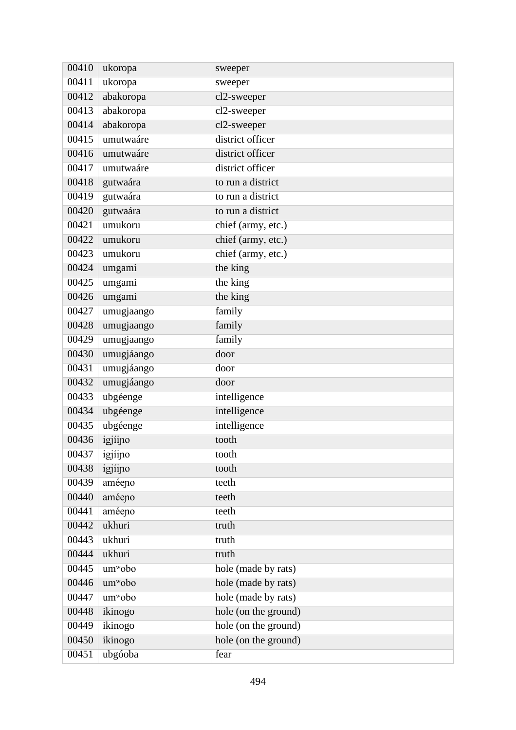| 00410 | ukoropa             | sweeper              |
|-------|---------------------|----------------------|
| 00411 | ukoropa             | sweeper              |
| 00412 | abakoropa           | cl2-sweeper          |
| 00413 | abakoropa           | cl2-sweeper          |
| 00414 | abakoropa           | cl2-sweeper          |
| 00415 | umutwaáre           | district officer     |
| 00416 | umutwaáre           | district officer     |
| 00417 | umutwaáre           | district officer     |
| 00418 | gutwaára            | to run a district    |
| 00419 | gutwaára            | to run a district    |
| 00420 | gutwaára            | to run a district    |
| 00421 | umukoru             | chief (army, etc.)   |
| 00422 | umukoru             | chief (army, etc.)   |
| 00423 | umukoru             | chief (army, etc.)   |
| 00424 | umgami              | the king             |
| 00425 | umgami              | the king             |
| 00426 | umgami              | the king             |
| 00427 | umugjaango          | family               |
| 00428 | umugjaango          | family               |
| 00429 | umugjaango          | family               |
| 00430 | umugjáango          | door                 |
| 00431 | umugjáango          | door                 |
| 00432 | umugjáango          | door                 |
| 00433 | ubgéenge            | intelligence         |
| 00434 | ubgéenge            | intelligence         |
| 00435 | ubgéenge            | intelligence         |
| 00436 | igjíino             | tooth                |
| 00437 | igjíino             | tooth                |
| 00438 | igjíino             | tooth                |
| 00439 | améeno              | teeth                |
| 00440 | améeno              | teeth                |
| 00441 | améeno              | teeth                |
| 00442 | ukhuri              | truth                |
| 00443 | ukhuri              | truth                |
| 00444 | ukhuri              | truth                |
| 00445 | um <sup>w</sup> obo | hole (made by rats)  |
| 00446 | um <sup>w</sup> obo | hole (made by rats)  |
| 00447 | um <sup>w</sup> obo | hole (made by rats)  |
| 00448 | ikinogo             | hole (on the ground) |
| 00449 | ikinogo             | hole (on the ground) |
| 00450 | ikinogo             | hole (on the ground) |
| 00451 | ubgóoba             | fear                 |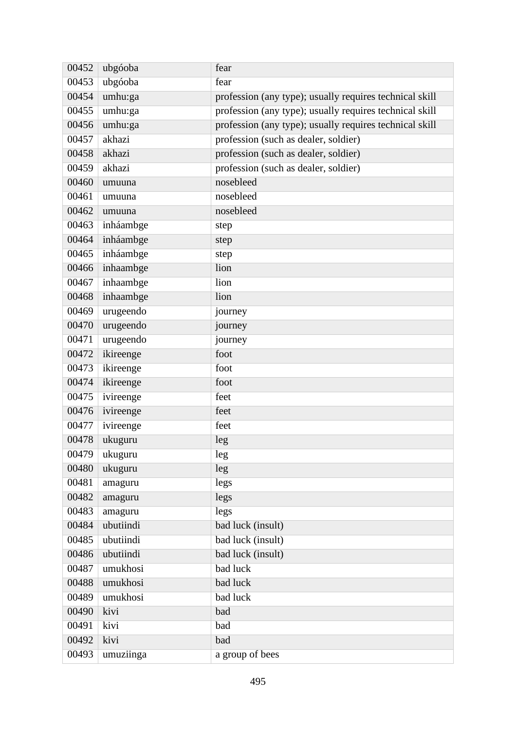| 00452 | ubgóoba   | fear                                                    |  |  |
|-------|-----------|---------------------------------------------------------|--|--|
| 00453 | ubgóoba   | fear                                                    |  |  |
| 00454 | umhu:ga   | profession (any type); usually requires technical skill |  |  |
| 00455 | umhu:ga   | profession (any type); usually requires technical skill |  |  |
| 00456 | umhu:ga   | profession (any type); usually requires technical skill |  |  |
| 00457 | akhazi    | profession (such as dealer, soldier)                    |  |  |
| 00458 | akhazi    | profession (such as dealer, soldier)                    |  |  |
| 00459 | akhazi    | profession (such as dealer, soldier)                    |  |  |
| 00460 | umuuna    | nosebleed                                               |  |  |
| 00461 | umuuna    | nosebleed                                               |  |  |
| 00462 | umuuna    | nosebleed                                               |  |  |
| 00463 | inháambge | step                                                    |  |  |
| 00464 | inháambge | step                                                    |  |  |
| 00465 | inháambge | step                                                    |  |  |
| 00466 | inhaambge | lion                                                    |  |  |
| 00467 | inhaambge | lion                                                    |  |  |
| 00468 | inhaambge | lion                                                    |  |  |
| 00469 | urugeendo | journey                                                 |  |  |
| 00470 | urugeendo | journey                                                 |  |  |
| 00471 | urugeendo | journey                                                 |  |  |
| 00472 | ikireenge | foot                                                    |  |  |
| 00473 | ikireenge | foot                                                    |  |  |
| 00474 | ikireenge | foot                                                    |  |  |
| 00475 | ivireenge | feet                                                    |  |  |
| 00476 | ivireenge | feet                                                    |  |  |
| 00477 | ivireenge | feet                                                    |  |  |
| 00478 | ukuguru   | leg                                                     |  |  |
| 00479 | ukuguru   | leg                                                     |  |  |
| 00480 | ukuguru   | leg                                                     |  |  |
| 00481 | amaguru   | legs                                                    |  |  |
| 00482 | amaguru   | legs                                                    |  |  |
| 00483 | amaguru   | legs                                                    |  |  |
| 00484 | ubutiindi | bad luck (insult)                                       |  |  |
| 00485 | ubutiindi | bad luck (insult)                                       |  |  |
| 00486 | ubutiindi | bad luck (insult)                                       |  |  |
| 00487 | umukhosi  | bad luck                                                |  |  |
| 00488 | umukhosi  | bad luck                                                |  |  |
| 00489 | umukhosi  | bad luck                                                |  |  |
| 00490 | kivi      | bad                                                     |  |  |
| 00491 | kivi      | bad                                                     |  |  |
| 00492 | kivi      | bad                                                     |  |  |
| 00493 | umuziinga | a group of bees                                         |  |  |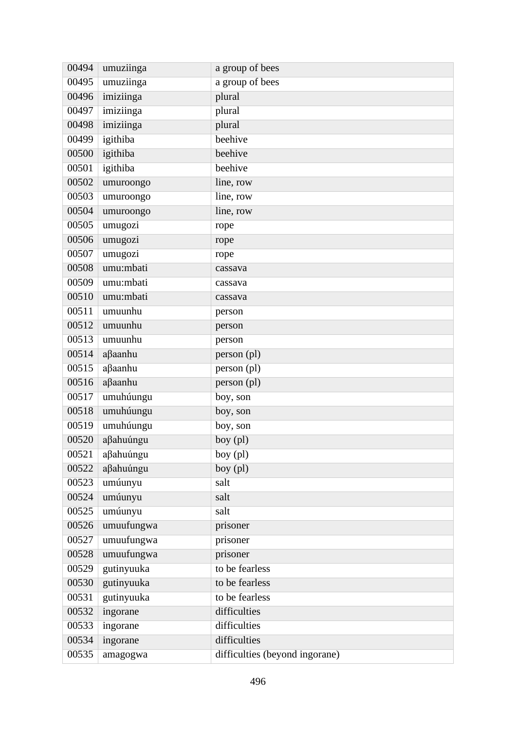| 00494 | umuziinga  | a group of bees                |
|-------|------------|--------------------------------|
| 00495 | umuziinga  | a group of bees                |
| 00496 | imiziinga  | plural                         |
| 00497 | imiziinga  | plural                         |
| 00498 | imiziinga  | plural                         |
| 00499 | igithiba   | beehive                        |
| 00500 | igithiba   | beehive                        |
| 00501 | igithiba   | beehive                        |
| 00502 | umuroongo  | line, row                      |
| 00503 | umuroongo  | line, row                      |
| 00504 | umuroongo  | line, row                      |
| 00505 | umugozi    | rope                           |
| 00506 | umugozi    | rope                           |
| 00507 | umugozi    | rope                           |
| 00508 | umu:mbati  | cassava                        |
| 00509 | umu:mbati  | cassava                        |
| 00510 | umu:mbati  | cassava                        |
| 00511 | umuunhu    | person                         |
| 00512 | umuunhu    | person                         |
| 00513 | umuunhu    | person                         |
| 00514 | aβaanhu    | person (pl)                    |
| 00515 | aβaanhu    | person (pl)                    |
| 00516 | aβaanhu    | person (pl)                    |
| 00517 | umuhúungu  | boy, son                       |
| 00518 | umuhúungu  | boy, son                       |
| 00519 | umuhúungu  | boy, son                       |
| 00520 | aβahuúngu  | boy (pl)                       |
| 00521 | aβahuúngu  | boy (pl)                       |
| 00522 | aβahuúngu  | boy $(pl)$                     |
| 00523 | umúunyu    | salt                           |
| 00524 | umúunyu    | salt                           |
| 00525 | umúunyu    | salt                           |
| 00526 | umuufungwa | prisoner                       |
| 00527 | umuufungwa | prisoner                       |
| 00528 | umuufungwa | prisoner                       |
| 00529 | gutinyuuka | to be fearless                 |
| 00530 | gutinyuuka | to be fearless                 |
| 00531 | gutinyuuka | to be fearless                 |
| 00532 | ingorane   | difficulties                   |
| 00533 | ingorane   | difficulties                   |
| 00534 | ingorane   | difficulties                   |
| 00535 | amagogwa   | difficulties (beyond ingorane) |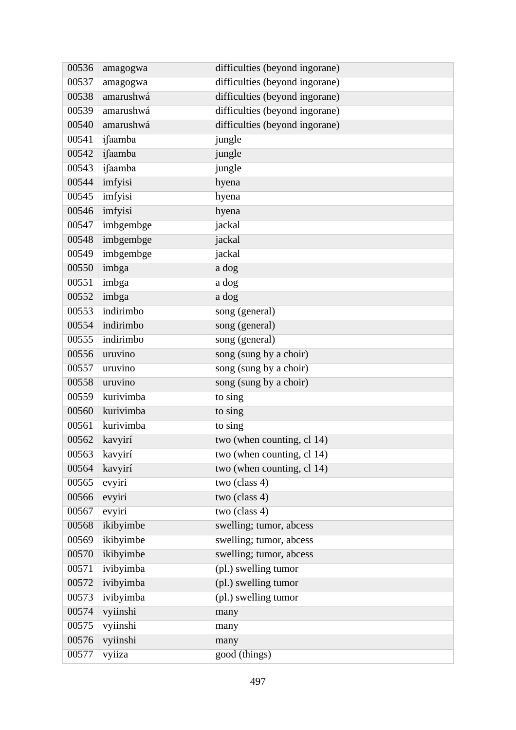| 00536 | amagogwa  | difficulties (beyond ingorane) |  |  |
|-------|-----------|--------------------------------|--|--|
| 00537 | amagogwa  | difficulties (beyond ingorane) |  |  |
| 00538 | amarushwá | difficulties (beyond ingorane) |  |  |
| 00539 | amarushwá | difficulties (beyond ingorane) |  |  |
| 00540 | amarushwá | difficulties (beyond ingorane) |  |  |
| 00541 | ifaamba   | jungle                         |  |  |
| 00542 | ifaamba   | jungle                         |  |  |
| 00543 | ifaamba   | jungle                         |  |  |
| 00544 | imfyisi   | hyena                          |  |  |
| 00545 | imfyisi   | hyena                          |  |  |
| 00546 | imfyisi   | hyena                          |  |  |
| 00547 | imbgembge | jackal                         |  |  |
| 00548 | imbgembge | jackal                         |  |  |
| 00549 | imbgembge | jackal                         |  |  |
| 00550 | imbga     | a dog                          |  |  |
| 00551 | imbga     | a dog                          |  |  |
| 00552 | imbga     | a dog                          |  |  |
| 00553 | indirimbo | song (general)                 |  |  |
| 00554 | indirimbo | song (general)                 |  |  |
| 00555 | indirimbo | song (general)                 |  |  |
| 00556 | uruvino   | song (sung by a choir)         |  |  |
| 00557 | uruvino   | song (sung by a choir)         |  |  |
| 00558 | uruvino   | song (sung by a choir)         |  |  |
| 00559 | kurivimba | to sing                        |  |  |
| 00560 | kurivimba | to sing                        |  |  |
| 00561 | kurivimba | to sing                        |  |  |
| 00562 | kavyirí   | two (when counting, cl 14)     |  |  |
| 00563 | kavyirí   | two (when counting, cl 14)     |  |  |
| 00564 | kavyirí   | two (when counting, cl 14)     |  |  |
| 00565 | evyiri    | two (class 4)                  |  |  |
| 00566 | evyiri    | two (class 4)                  |  |  |
| 00567 | evyiri    | two (class 4)                  |  |  |
| 00568 | ikibyimbe | swelling; tumor, abcess        |  |  |
| 00569 | ikibyimbe | swelling; tumor, abcess        |  |  |
| 00570 | ikibyimbe | swelling; tumor, abcess        |  |  |
| 00571 | ivibyimba | (pl.) swelling tumor           |  |  |
| 00572 | ivibyimba | (pl.) swelling tumor           |  |  |
| 00573 | ivibyimba | (pl.) swelling tumor           |  |  |
| 00574 | vyiinshi  | many                           |  |  |
| 00575 | vyiinshi  | many                           |  |  |
| 00576 | vyiinshi  | many                           |  |  |
| 00577 | vyiiza    | good (things)                  |  |  |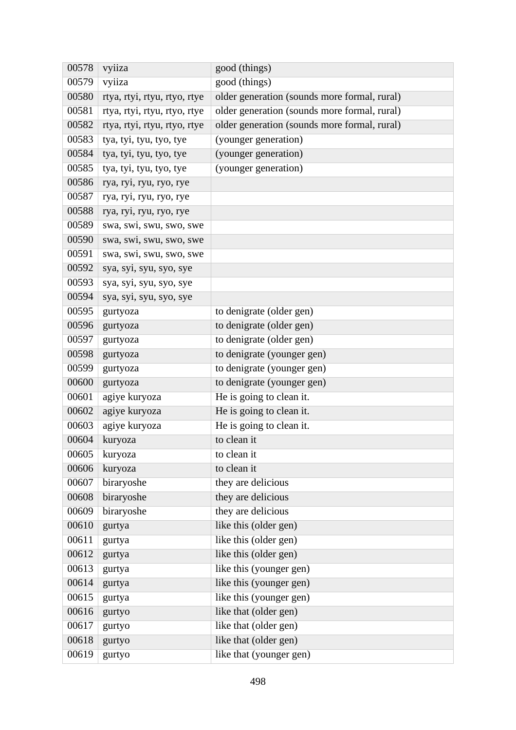| 00578 | vyiiza                       | good (things)                                |  |  |  |
|-------|------------------------------|----------------------------------------------|--|--|--|
| 00579 | vyiiza                       | good (things)                                |  |  |  |
| 00580 | rtya, rtyi, rtyu, rtyo, rtye | older generation (sounds more formal, rural) |  |  |  |
| 00581 | rtya, rtyi, rtyu, rtyo, rtye | older generation (sounds more formal, rural) |  |  |  |
| 00582 | rtya, rtyi, rtyu, rtyo, rtye | older generation (sounds more formal, rural) |  |  |  |
| 00583 | tya, tyi, tyu, tyo, tye      | (younger generation)                         |  |  |  |
| 00584 | tya, tyi, tyu, tyo, tye      | (younger generation)                         |  |  |  |
| 00585 | tya, tyi, tyu, tyo, tye      | (younger generation)                         |  |  |  |
| 00586 | rya, ryi, ryu, ryo, rye      |                                              |  |  |  |
| 00587 | rya, ryi, ryu, ryo, rye      |                                              |  |  |  |
| 00588 | rya, ryi, ryu, ryo, rye      |                                              |  |  |  |
| 00589 | swa, swi, swu, swo, swe      |                                              |  |  |  |
| 00590 | swa, swi, swu, swo, swe      |                                              |  |  |  |
| 00591 | swa, swi, swu, swo, swe      |                                              |  |  |  |
| 00592 | sya, syi, syu, syo, sye      |                                              |  |  |  |
| 00593 | sya, syi, syu, syo, sye      |                                              |  |  |  |
| 00594 | sya, syi, syu, syo, sye      |                                              |  |  |  |
| 00595 | gurtyoza                     | to denigrate (older gen)                     |  |  |  |
| 00596 | gurtyoza                     | to denigrate (older gen)                     |  |  |  |
| 00597 | gurtyoza                     | to denigrate (older gen)                     |  |  |  |
| 00598 | gurtyoza                     | to denigrate (younger gen)                   |  |  |  |
| 00599 | gurtyoza                     | to denigrate (younger gen)                   |  |  |  |
| 00600 | gurtyoza                     | to denigrate (younger gen)                   |  |  |  |
| 00601 | agiye kuryoza                | He is going to clean it.                     |  |  |  |
| 00602 | agiye kuryoza                | He is going to clean it.                     |  |  |  |
| 00603 | agiye kuryoza                | He is going to clean it.                     |  |  |  |
| 00604 | kuryoza                      | to clean it                                  |  |  |  |
| 00605 | kuryoza                      | to clean it                                  |  |  |  |
| 00606 | kuryoza                      | to clean it                                  |  |  |  |
| 00607 | biraryoshe                   | they are delicious                           |  |  |  |
| 00608 | biraryoshe                   | they are delicious                           |  |  |  |
| 00609 | biraryoshe                   | they are delicious                           |  |  |  |
| 00610 | gurtya                       | like this (older gen)                        |  |  |  |
| 00611 | gurtya                       | like this (older gen)                        |  |  |  |
| 00612 | gurtya                       | like this (older gen)                        |  |  |  |
| 00613 | gurtya                       | like this (younger gen)                      |  |  |  |
| 00614 | gurtya                       | like this (younger gen)                      |  |  |  |
| 00615 | gurtya                       | like this (younger gen)                      |  |  |  |
| 00616 | gurtyo                       | like that (older gen)                        |  |  |  |
| 00617 | gurtyo                       | like that (older gen)                        |  |  |  |
| 00618 | gurtyo                       | like that (older gen)                        |  |  |  |
| 00619 | gurtyo                       | like that (younger gen)                      |  |  |  |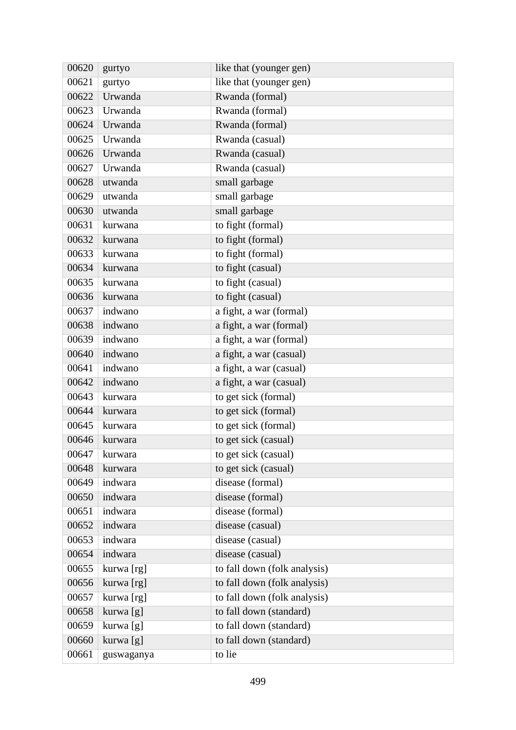| 00620 | gurtyo     | like that (younger gen)      |  |  |
|-------|------------|------------------------------|--|--|
| 00621 | gurtyo     | like that (younger gen)      |  |  |
| 00622 | Urwanda    | Rwanda (formal)              |  |  |
| 00623 | Urwanda    | Rwanda (formal)              |  |  |
| 00624 | Urwanda    | Rwanda (formal)              |  |  |
| 00625 | Urwanda    | Rwanda (casual)              |  |  |
| 00626 | Urwanda    | Rwanda (casual)              |  |  |
| 00627 | Urwanda    | Rwanda (casual)              |  |  |
| 00628 | utwanda    | small garbage                |  |  |
| 00629 | utwanda    | small garbage                |  |  |
| 00630 | utwanda    | small garbage                |  |  |
| 00631 | kurwana    | to fight (formal)            |  |  |
| 00632 | kurwana    | to fight (formal)            |  |  |
| 00633 | kurwana    | to fight (formal)            |  |  |
| 00634 | kurwana    | to fight (casual)            |  |  |
| 00635 | kurwana    | to fight (casual)            |  |  |
| 00636 | kurwana    | to fight (casual)            |  |  |
| 00637 | indwano    | a fight, a war (formal)      |  |  |
| 00638 | indwano    | a fight, a war (formal)      |  |  |
| 00639 | indwano    | a fight, a war (formal)      |  |  |
| 00640 | indwano    | a fight, a war (casual)      |  |  |
| 00641 | indwano    | a fight, a war (casual)      |  |  |
| 00642 | indwano    | a fight, a war (casual)      |  |  |
| 00643 | kurwara    | to get sick (formal)         |  |  |
| 00644 | kurwara    | to get sick (formal)         |  |  |
| 00645 | kurwara    | to get sick (formal)         |  |  |
| 00646 | kurwara    | to get sick (casual)         |  |  |
| 00647 | kurwara    | to get sick (casual)         |  |  |
| 00648 | kurwara    | to get sick (casual)         |  |  |
| 00649 | indwara    | disease (formal)             |  |  |
| 00650 | indwara    | disease (formal)             |  |  |
| 00651 | indwara    | disease (formal)             |  |  |
| 00652 | indwara    | disease (casual)             |  |  |
| 00653 | indwara    | disease (casual)             |  |  |
| 00654 | indwara    | disease (casual)             |  |  |
| 00655 | kurwa [rg] | to fall down (folk analysis) |  |  |
| 00656 | kurwa [rg] | to fall down (folk analysis) |  |  |
| 00657 | kurwa [rg] | to fall down (folk analysis) |  |  |
| 00658 | kurwa [g]  | to fall down (standard)      |  |  |
| 00659 | kurwa [g]  | to fall down (standard)      |  |  |
| 00660 | kurwa [g]  | to fall down (standard)      |  |  |
| 00661 | guswaganya | to lie                       |  |  |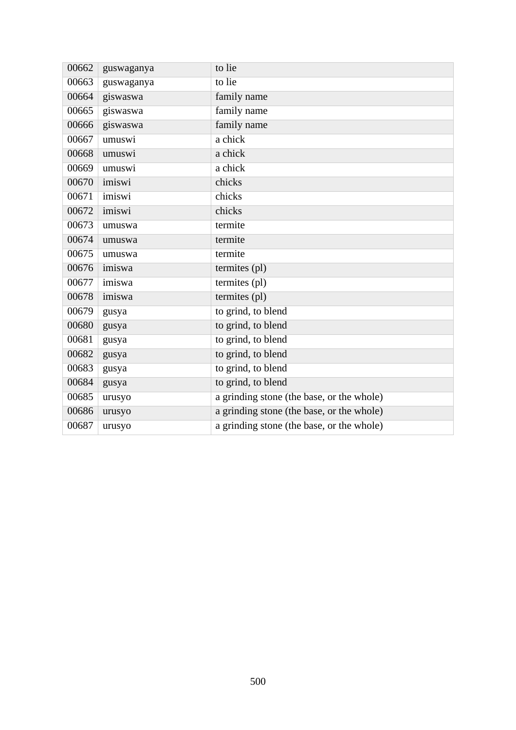| 00662 | guswaganya | to lie                                    |
|-------|------------|-------------------------------------------|
| 00663 | guswaganya | to lie                                    |
| 00664 | giswaswa   | family name                               |
| 00665 | giswaswa   | family name                               |
| 00666 | giswaswa   | family name                               |
| 00667 | umuswi     | a chick                                   |
| 00668 | umuswi     | a chick                                   |
| 00669 | umuswi     | a chick                                   |
| 00670 | imiswi     | chicks                                    |
| 00671 | imiswi     | chicks                                    |
| 00672 | imiswi     | chicks                                    |
| 00673 | umuswa     | termite                                   |
| 00674 | umuswa     | termite                                   |
| 00675 | umuswa     | termite                                   |
| 00676 | imiswa     | termites (pl)                             |
| 00677 | imiswa     | termites (pl)                             |
| 00678 | imiswa     | termites (pl)                             |
| 00679 | gusya      | to grind, to blend                        |
| 00680 | gusya      | to grind, to blend                        |
| 00681 | gusya      | to grind, to blend                        |
| 00682 | gusya      | to grind, to blend                        |
| 00683 | gusya      | to grind, to blend                        |
| 00684 | gusya      | to grind, to blend                        |
| 00685 | urusyo     | a grinding stone (the base, or the whole) |
| 00686 | urusyo     | a grinding stone (the base, or the whole) |
| 00687 | urusyo     | a grinding stone (the base, or the whole) |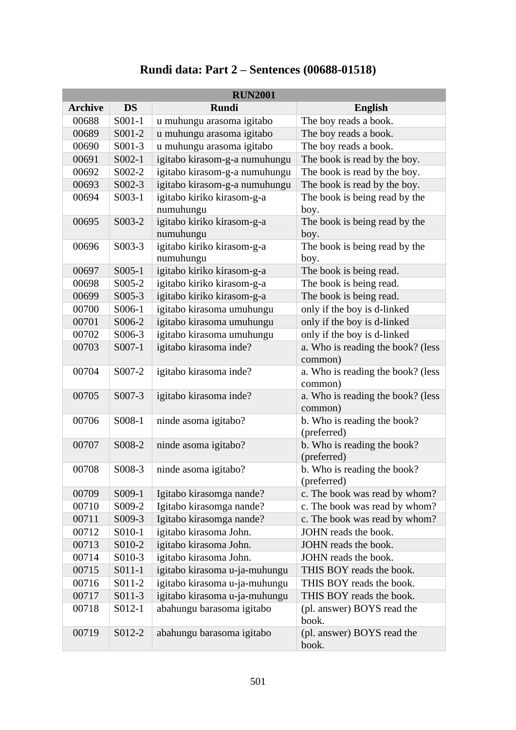|                | <b>RUN2001</b> |                               |                                              |  |  |
|----------------|----------------|-------------------------------|----------------------------------------------|--|--|
| <b>Archive</b> | <b>DS</b>      | <b>Rundi</b>                  | <b>English</b>                               |  |  |
| 00688          | $S001-1$       | u muhungu arasoma igitabo     | The boy reads a book.                        |  |  |
| 00689          | S001-2         | u muhungu arasoma igitabo     | The boy reads a book.                        |  |  |
| 00690          | $S001-3$       | u muhungu arasoma igitabo     | The boy reads a book.                        |  |  |
| 00691          | $S002-1$       | igitabo kirasom-g-a numuhungu | The book is read by the boy.                 |  |  |
| 00692          | S002-2         | igitabo kirasom-g-a numuhungu | The book is read by the boy.                 |  |  |
| 00693          | S002-3         | igitabo kirasom-g-a numuhungu | The book is read by the boy.                 |  |  |
| 00694          | $S003-1$       | igitabo kiriko kirasom-g-a    | The book is being read by the                |  |  |
|                |                | numuhungu                     | boy.                                         |  |  |
| 00695          | S003-2         | igitabo kiriko kirasom-g-a    | The book is being read by the                |  |  |
|                |                | numuhungu                     | boy.                                         |  |  |
| 00696          | $S003-3$       | igitabo kiriko kirasom-g-a    | The book is being read by the                |  |  |
|                |                | numuhungu                     | boy.                                         |  |  |
| 00697          | $S005-1$       | igitabo kiriko kirasom-g-a    | The book is being read.                      |  |  |
| 00698          | S005-2         | igitabo kiriko kirasom-g-a    | The book is being read.                      |  |  |
| 00699          | $S005-3$       | igitabo kiriko kirasom-g-a    | The book is being read.                      |  |  |
| 00700          | S006-1         | igitabo kirasoma umuhungu     | only if the boy is d-linked                  |  |  |
| 00701          | S006-2         | igitabo kirasoma umuhungu     | only if the boy is d-linked                  |  |  |
| 00702          | S006-3         | igitabo kirasoma umuhungu     | only if the boy is d-linked                  |  |  |
| 00703          | S007-1         | igitabo kirasoma inde?        | a. Who is reading the book? (less<br>common) |  |  |
| 00704          | S007-2         | igitabo kirasoma inde?        | a. Who is reading the book? (less<br>common) |  |  |
| 00705          | S007-3         | igitabo kirasoma inde?        | a. Who is reading the book? (less<br>common) |  |  |
| 00706          | S008-1         | ninde asoma igitabo?          | b. Who is reading the book?<br>(preferred)   |  |  |
| 00707          | S008-2         | ninde asoma igitabo?          | b. Who is reading the book?<br>(preferred)   |  |  |
| 00708          | S008-3         | ninde asoma igitabo?          | b. Who is reading the book?<br>(preferred)   |  |  |
| 00709          | S009-1         | Igitabo kirasomga nande?      | c. The book was read by whom?                |  |  |
| 00710          | S009-2         | Igitabo kirasomga nande?      | c. The book was read by whom?                |  |  |
| 00711          | S009-3         | Igitabo kirasomga nande?      | c. The book was read by whom?                |  |  |
| 00712          | S010-1         | igitabo kirasoma John.        | JOHN reads the book.                         |  |  |
| 00713          | S010-2         | igitabo kirasoma John.        | JOHN reads the book.                         |  |  |
| 00714          | S010-3         | igitabo kirasoma John.        | JOHN reads the book.                         |  |  |
| 00715          | S011-1         | igitabo kirasoma u-ja-muhungu | THIS BOY reads the book.                     |  |  |
| 00716          | S011-2         | igitabo kirasoma u-ja-muhungu | THIS BOY reads the book.                     |  |  |
| 00717          | S011-3         | igitabo kirasoma u-ja-muhungu | THIS BOY reads the book.                     |  |  |
| 00718          | S012-1         | abahungu barasoma igitabo     | (pl. answer) BOYS read the<br>book.          |  |  |
| 00719          | S012-2         | abahungu barasoma igitabo     | (pl. answer) BOYS read the<br>book.          |  |  |

## **Rundi data: Part 2 – Sentences (00688-01518)**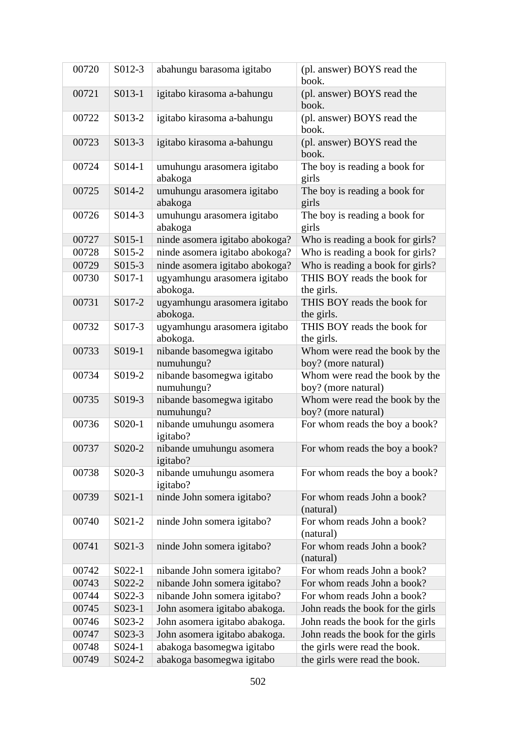| 00720 | S012-3              | abahungu barasoma igitabo                | (pl. answer) BOYS read the<br>book.                   |
|-------|---------------------|------------------------------------------|-------------------------------------------------------|
| 00721 | S013-1              | igitabo kirasoma a-bahungu               | (pl. answer) BOYS read the<br>book.                   |
| 00722 | S013-2              | igitabo kirasoma a-bahungu               | (pl. answer) BOYS read the<br>book.                   |
| 00723 | S013-3              | igitabo kirasoma a-bahungu               | (pl. answer) BOYS read the<br>book.                   |
| 00724 | S014-1              | umuhungu arasomera igitabo<br>abakoga    | The boy is reading a book for<br>girls                |
| 00725 | S014-2              | umuhungu arasomera igitabo<br>abakoga    | The boy is reading a book for<br>girls                |
| 00726 | S014-3              | umuhungu arasomera igitabo<br>abakoga    | The boy is reading a book for<br>girls                |
| 00727 | $S015-1$            | ninde asomera igitabo abokoga?           | Who is reading a book for girls?                      |
| 00728 | S015-2              | ninde asomera igitabo abokoga?           | Who is reading a book for girls?                      |
| 00729 | S015-3              | ninde asomera igitabo abokoga?           | Who is reading a book for girls?                      |
| 00730 | S017-1              | ugyamhungu arasomera igitabo<br>abokoga. | THIS BOY reads the book for<br>the girls.             |
| 00731 | S017-2              | ugyamhungu arasomera igitabo<br>abokoga. | THIS BOY reads the book for<br>the girls.             |
| 00732 | S017-3              | ugyamhungu arasomera igitabo<br>abokoga. | THIS BOY reads the book for<br>the girls.             |
| 00733 | S019-1              | nibande basomegwa igitabo<br>numuhungu?  | Whom were read the book by the<br>boy? (more natural) |
| 00734 | S019-2              | nibande basomegwa igitabo<br>numuhungu?  | Whom were read the book by the<br>boy? (more natural) |
| 00735 | S019-3              | nibande basomegwa igitabo<br>numuhungu?  | Whom were read the book by the<br>boy? (more natural) |
| 00736 | S020-1              | nibande umuhungu asomera<br>igitabo?     | For whom reads the boy a book?                        |
| 00737 | S <sub>020</sub> -2 | nibande umuhungu asomera<br>igitabo?     | For whom reads the boy a book?                        |
| 00738 | S <sub>0</sub> 20-3 | nibande umuhungu asomera<br>igitabo?     | For whom reads the boy a book?                        |
| 00739 | $S021-1$            | ninde John somera igitabo?               | For whom reads John a book?<br>(natural)              |
| 00740 | S <sub>021</sub> -2 | ninde John somera igitabo?               | For whom reads John a book?<br>(natural)              |
| 00741 | $S021-3$            | ninde John somera igitabo?               | For whom reads John a book?<br>(natural)              |
| 00742 | S022-1              | nibande John somera igitabo?             | For whom reads John a book?                           |
| 00743 | S022-2              | nibande John somera igitabo?             | For whom reads John a book?                           |
| 00744 | S022-3              | nibande John somera igitabo?             | For whom reads John a book?                           |
| 00745 | $S023-1$            | John asomera igitabo abakoga.            | John reads the book for the girls                     |
| 00746 | S023-2              | John asomera igitabo abakoga.            | John reads the book for the girls                     |
| 00747 | S023-3              | John asomera igitabo abakoga.            | John reads the book for the girls                     |
| 00748 | $S024-1$            | abakoga basomegwa igitabo                | the girls were read the book.                         |
| 00749 | S024-2              | abakoga basomegwa igitabo                | the girls were read the book.                         |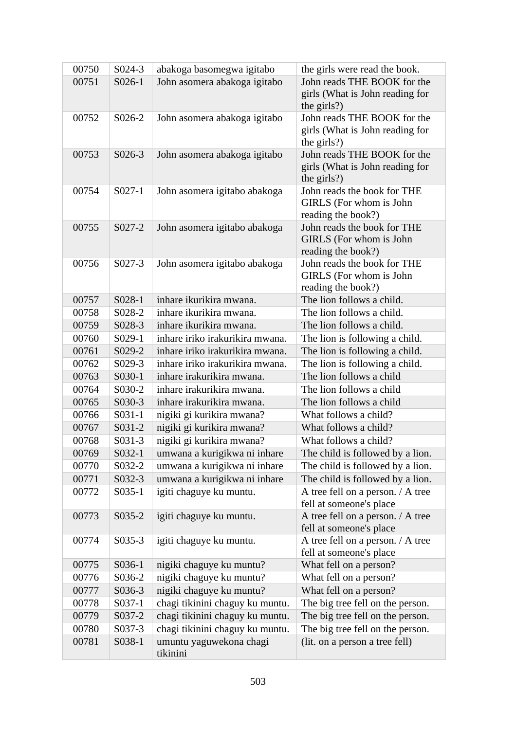| 00750          | S024-3             | abakoga basomegwa igitabo       | the girls were read the book.                                        |
|----------------|--------------------|---------------------------------|----------------------------------------------------------------------|
| 00751          | $S026-1$           | John asomera abakoga igitabo    | John reads THE BOOK for the                                          |
|                |                    |                                 | girls (What is John reading for                                      |
|                |                    |                                 | the girls?)                                                          |
| 00752          | S026-2             | John asomera abakoga igitabo    | John reads THE BOOK for the                                          |
|                |                    |                                 | girls (What is John reading for                                      |
|                |                    |                                 | the girls?)                                                          |
| 00753          | $S026-3$           | John asomera abakoga igitabo    | John reads THE BOOK for the                                          |
|                |                    |                                 | girls (What is John reading for<br>the girls?)                       |
| 00754          | $S027-1$           | John asomera igitabo abakoga    | John reads the book for THE                                          |
|                |                    |                                 | GIRLS (For whom is John                                              |
|                |                    |                                 | reading the book?)                                                   |
| 00755          | S027-2             | John asomera igitabo abakoga    | John reads the book for THE                                          |
|                |                    |                                 | GIRLS (For whom is John                                              |
|                |                    |                                 | reading the book?)                                                   |
| 00756          | S027-3             | John asomera igitabo abakoga    | John reads the book for THE                                          |
|                |                    |                                 | GIRLS (For whom is John                                              |
|                |                    |                                 | reading the book?)                                                   |
| 00757          | S028-1             | inhare ikurikira mwana.         | The lion follows a child.                                            |
| 00758          | S028-2             | inhare ikurikira mwana.         | The lion follows a child.                                            |
| 00759          | S028-3             | inhare ikurikira mwana.         | The lion follows a child.                                            |
| 00760          | $S$ 029-1          | inhare iriko irakurikira mwana. | The lion is following a child.                                       |
| 00761          | S029-2             | inhare iriko irakurikira mwana. | The lion is following a child.                                       |
| 00762          | S029-3             | inhare iriko irakurikira mwana. | The lion is following a child.                                       |
| 00763          | S030-1             | inhare irakurikira mwana.       | The lion follows a child                                             |
| 00764          | S030-2             | inhare irakurikira mwana.       | The lion follows a child                                             |
| 00765          | S030-3             | inhare irakurikira mwana.       | The lion follows a child                                             |
| 00766          | $S031-1$           | nigiki gi kurikira mwana?       | What follows a child?                                                |
| 00767          | S031-2             | nigiki gi kurikira mwana?       | What follows a child?                                                |
| 00768          | S031-3             | nigiki gi kurikira mwana?       | What follows a child?                                                |
| 00769          | S032-1             | umwana a kurigikwa ni inhare    | The child is followed by a lion.                                     |
| 00770<br>00771 | S032-2             | umwana a kurigikwa ni inhare    | The child is followed by a lion.<br>The child is followed by a lion. |
| 00772          | S032-3<br>$S035-1$ | umwana a kurigikwa ni inhare    |                                                                      |
|                |                    | igiti chaguye ku muntu.         | A tree fell on a person. / A tree<br>fell at someone's place         |
| 00773          | S035-2             | igiti chaguye ku muntu.         | A tree fell on a person. / A tree                                    |
|                |                    |                                 | fell at someone's place                                              |
| 00774          | $S$ 035-3          | igiti chaguye ku muntu.         | A tree fell on a person. / A tree                                    |
|                |                    |                                 | fell at someone's place                                              |
| 00775          | S036-1             | nigiki chaguye ku muntu?        | What fell on a person?                                               |
| 00776          | S036-2             | nigiki chaguye ku muntu?        | What fell on a person?                                               |
| 00777          | S036-3             | nigiki chaguye ku muntu?        | What fell on a person?                                               |
| 00778          | $S037-1$           | chagi tikinini chaguy ku muntu. | The big tree fell on the person.                                     |
| 00779          | S037-2             | chagi tikinini chaguy ku muntu. | The big tree fell on the person.                                     |
| 00780          | S037-3             | chagi tikinini chaguy ku muntu. | The big tree fell on the person.                                     |
| 00781          | S038-1             | umuntu yaguwekona chagi         | (lit. on a person a tree fell)                                       |
|                |                    | tikinini                        |                                                                      |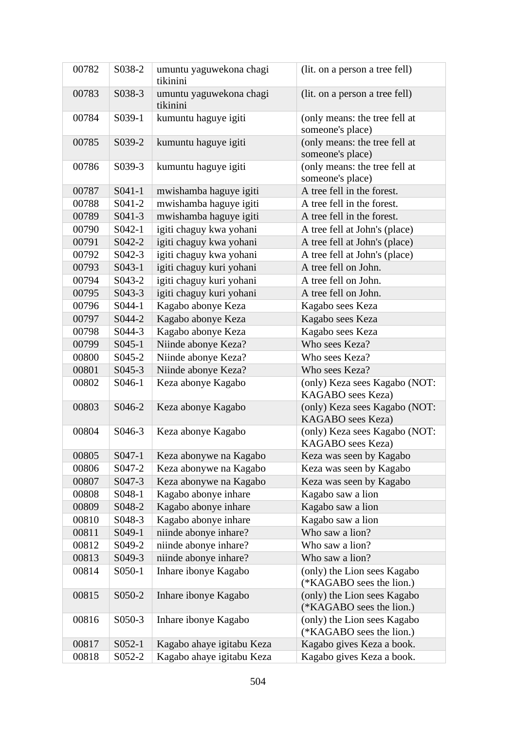| 00782 | S038-2    | umuntu yaguwekona chagi<br>tikinini | (lit. on a person a tree fell)                          |
|-------|-----------|-------------------------------------|---------------------------------------------------------|
| 00783 | S038-3    | umuntu yaguwekona chagi<br>tikinini | (lit. on a person a tree fell)                          |
| 00784 | S039-1    | kumuntu haguye igiti                | (only means: the tree fell at<br>someone's place)       |
| 00785 | S039-2    | kumuntu haguye igiti                | (only means: the tree fell at<br>someone's place)       |
| 00786 | S039-3    | kumuntu haguye igiti                | (only means: the tree fell at<br>someone's place)       |
| 00787 | $S041-1$  | mwishamba haguye igiti              | A tree fell in the forest.                              |
| 00788 | S041-2    | mwishamba haguye igiti              | A tree fell in the forest.                              |
| 00789 | $S041-3$  | mwishamba haguye igiti              | A tree fell in the forest.                              |
| 00790 | $S042-1$  | igiti chaguy kwa yohani             | A tree fell at John's (place)                           |
| 00791 | S042-2    | igiti chaguy kwa yohani             | A tree fell at John's (place)                           |
| 00792 | $S042-3$  | igiti chaguy kwa yohani             | A tree fell at John's (place)                           |
| 00793 | $S043-1$  | igiti chaguy kuri yohani            | A tree fell on John.                                    |
| 00794 | S043-2    | igiti chaguy kuri yohani            | A tree fell on John.                                    |
| 00795 | $S043-3$  | igiti chaguy kuri yohani            | A tree fell on John.                                    |
| 00796 | S044-1    | Kagabo abonye Keza                  | Kagabo sees Keza                                        |
| 00797 | S044-2    | Kagabo abonye Keza                  | Kagabo sees Keza                                        |
| 00798 | S044-3    | Kagabo abonye Keza                  | Kagabo sees Keza                                        |
| 00799 | $S045-1$  | Niinde abonye Keza?                 | Who sees Keza?                                          |
| 00800 | S045-2    | Niinde abonye Keza?                 | Who sees Keza?                                          |
| 00801 | $S045-3$  | Niinde abonye Keza?                 | Who sees Keza?                                          |
| 00802 | S046-1    | Keza abonye Kagabo                  | (only) Keza sees Kagabo (NOT:<br>KAGABO sees Keza)      |
| 00803 | S046-2    | Keza abonye Kagabo                  | (only) Keza sees Kagabo (NOT:                           |
|       |           |                                     | KAGABO sees Keza)                                       |
| 00804 | $S046-3$  | Keza abonye Kagabo                  | (only) Keza sees Kagabo (NOT:<br>KAGABO sees Keza)      |
| 00805 | S047-1    | Keza abonywe na Kagabo              | Keza was seen by Kagabo                                 |
| 00806 | S047-2    | Keza abonywe na Kagabo              | Keza was seen by Kagabo                                 |
| 00807 | S047-3    | Keza abonywe na Kagabo              | Keza was seen by Kagabo                                 |
| 00808 | S048-1    | Kagabo abonye inhare                | Kagabo saw a lion                                       |
| 00809 | S048-2    | Kagabo abonye inhare                | Kagabo saw a lion                                       |
| 00810 | S048-3    | Kagabo abonye inhare                | Kagabo saw a lion                                       |
| 00811 | S049-1    | niinde abonye inhare?               | Who saw a lion?                                         |
| 00812 | S049-2    | niinde abonye inhare?               | Who saw a lion?                                         |
| 00813 | S049-3    | niinde abonye inhare?               | Who saw a lion?                                         |
| 00814 | S050-1    | Inhare ibonye Kagabo                | (only) the Lion sees Kagabo<br>(*KAGABO sees the lion.) |
| 00815 | S050-2    | Inhare ibonye Kagabo                | (only) the Lion sees Kagabo<br>(*KAGABO sees the lion.) |
| 00816 | $S$ 050-3 | Inhare ibonye Kagabo                | (only) the Lion sees Kagabo<br>(*KAGABO sees the lion.) |
| 00817 | $S052-1$  | Kagabo ahaye igitabu Keza           | Kagabo gives Keza a book.                               |
| 00818 | S052-2    | Kagabo ahaye igitabu Keza           | Kagabo gives Keza a book.                               |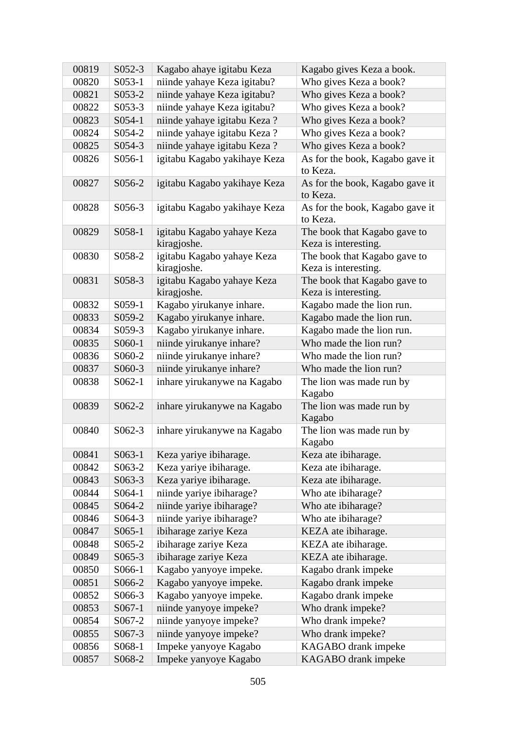| 00819          | $S052-3$             | Kagabo ahaye igitabu Keza                          | Kagabo gives Keza a book.                 |
|----------------|----------------------|----------------------------------------------------|-------------------------------------------|
| 00820          | $S053-1$             | niinde yahaye Keza igitabu?                        | Who gives Keza a book?                    |
| 00821          | S053-2               | niinde yahaye Keza igitabu?                        | Who gives Keza a book?                    |
| 00822          | $S053-3$             | niinde yahaye Keza igitabu?                        | Who gives Keza a book?                    |
| 00823          | $S054-1$             | niinde yahaye igitabu Keza?                        | Who gives Keza a book?                    |
| 00824          | S054-2               | niinde yahaye igitabu Keza?                        | Who gives Keza a book?                    |
| 00825          | S054-3               | niinde yahaye igitabu Keza?                        | Who gives Keza a book?                    |
| 00826          | $S056-1$             | igitabu Kagabo yakihaye Keza                       | As for the book, Kagabo gave it           |
|                |                      |                                                    | to Keza.                                  |
| 00827          | S056-2               | igitabu Kagabo yakihaye Keza                       | As for the book, Kagabo gave it           |
|                |                      |                                                    | to Keza.                                  |
| 00828          | $S056-3$             | igitabu Kagabo yakihaye Keza                       | As for the book, Kagabo gave it           |
|                |                      |                                                    | to Keza.                                  |
| 00829          | S058-1               | igitabu Kagabo yahaye Keza                         | The book that Kagabo gave to              |
|                |                      | kiragjoshe.                                        | Keza is interesting.                      |
| 00830          | S058-2               | igitabu Kagabo yahaye Keza                         | The book that Kagabo gave to              |
|                |                      | kiragjoshe.                                        | Keza is interesting.                      |
| 00831          | S058-3               | igitabu Kagabo yahaye Keza                         | The book that Kagabo gave to              |
|                |                      | kiragjoshe.                                        | Keza is interesting.                      |
| 00832          | S059-1               | Kagabo yirukanye inhare.                           | Kagabo made the lion run.                 |
| 00833          | S059-2               | Kagabo yirukanye inhare.                           | Kagabo made the lion run.                 |
| 00834          | S059-3               | Kagabo yirukanye inhare.                           | Kagabo made the lion run.                 |
| 00835          | S060-1               | niinde yirukanye inhare?                           | Who made the lion run?                    |
| 00836          | S060-2               | niinde yirukanye inhare?                           | Who made the lion run?                    |
| 00837          | S060-3               | niinde yirukanye inhare?                           | Who made the lion run?                    |
| 00838          | $S062-1$             | inhare yirukanywe na Kagabo                        | The lion was made run by                  |
|                |                      |                                                    | Kagabo                                    |
| 00839          | S062-2               | inhare yirukanywe na Kagabo                        | The lion was made run by                  |
|                |                      |                                                    | Kagabo                                    |
| 00840          | $S062-3$             | inhare yirukanywe na Kagabo                        | The lion was made run by                  |
| 00841          | $S063-1$             | Keza yariye ibiharage.                             | Kagabo                                    |
| 00842          | S063-2               |                                                    | Keza ate ibiharage.                       |
| 00843          |                      | Keza yariye ibiharage.                             | Keza ate ibiharage.                       |
| 00844          | $S063-3$<br>$S064-1$ | Keza yariye ibiharage.<br>niinde yariye ibiharage? | Keza ate ibiharage.<br>Who ate ibiharage? |
|                |                      |                                                    |                                           |
| 00845<br>00846 | S064-2<br>S064-3     | niinde yariye ibiharage?                           | Who ate ibiharage?                        |
|                |                      | niinde yariye ibiharage?                           | Who ate ibiharage?                        |
| 00847          | $S065-1$             | ibiharage zariye Keza                              | KEZA ate ibiharage.                       |
| 00848          | $S065-2$             | ibiharage zariye Keza                              | KEZA ate ibiharage.                       |
| 00849          | $S065-3$             | ibiharage zariye Keza                              | KEZA ate ibiharage.                       |
| 00850          | S066-1               | Kagabo yanyoye impeke.                             | Kagabo drank impeke                       |
| 00851          | S066-2               | Kagabo yanyoye impeke.                             | Kagabo drank impeke                       |
| 00852          | S066-3               | Kagabo yanyoye impeke.                             | Kagabo drank impeke                       |
| 00853          | $S067-1$             | niinde yanyoye impeke?                             | Who drank impeke?                         |
| 00854          | S067-2               | niinde yanyoye impeke?                             | Who drank impeke?                         |
| 00855          | $S067-3$             | niinde yanyoye impeke?                             | Who drank impeke?                         |
| 00856          | S068-1               | Impeke yanyoye Kagabo                              | KAGABO drank impeke                       |
| 00857          | S068-2               | Impeke yanyoye Kagabo                              | KAGABO drank impeke                       |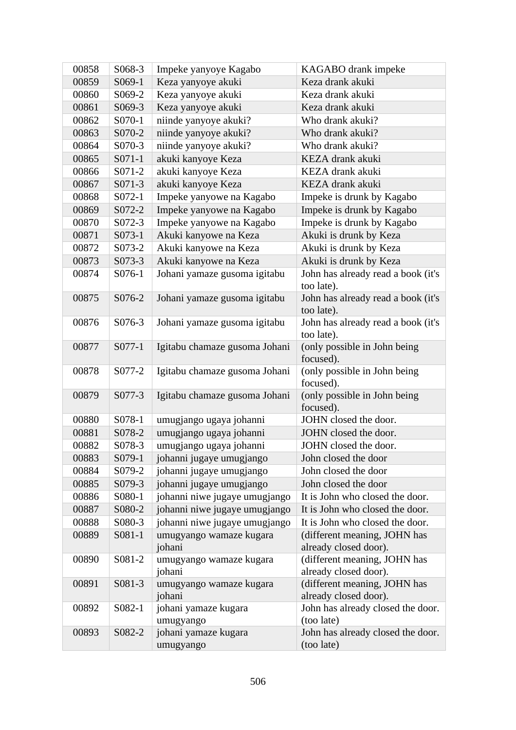| Keza yanyoye akuki<br>Keza drank akuki<br>00859<br>S069-1                                                     |  |
|---------------------------------------------------------------------------------------------------------------|--|
|                                                                                                               |  |
| Keza yanyoye akuki<br>00860<br>S069-2<br>Keza drank akuki                                                     |  |
| 00861<br>S069-3<br>Keza yanyoye akuki<br>Keza drank akuki                                                     |  |
| niinde yanyoye akuki?<br>00862<br>S070-1<br>Who drank akuki?                                                  |  |
| S070-2<br>niinde yanyoye akuki?<br>Who drank akuki?<br>00863                                                  |  |
| niinde yanyoye akuki?<br>00864<br>S070-3<br>Who drank akuki?                                                  |  |
| S071-1<br>akuki kanyoye Keza<br>00865<br>KEZA drank akuki                                                     |  |
| akuki kanyoye Keza<br>S071-2<br>KEZA drank akuki<br>00866                                                     |  |
| akuki kanyoye Keza<br>S071-3<br>KEZA drank akuki<br>00867                                                     |  |
| S072-1<br>Impeke yanyowe na Kagabo<br>Impeke is drunk by Kagabo<br>00868                                      |  |
| Impeke yanyowe na Kagabo<br>Impeke is drunk by Kagabo<br>00869<br>S072-2                                      |  |
| S072-3<br>Impeke yanyowe na Kagabo<br>Impeke is drunk by Kagabo<br>00870                                      |  |
| Akuki kanyowe na Keza<br>00871<br>S073-1<br>Akuki is drunk by Keza                                            |  |
| Akuki kanyowe na Keza<br>Akuki is drunk by Keza<br>00872<br>S073-2                                            |  |
| Akuki is drunk by Keza<br>00873<br>S073-3<br>Akuki kanyowe na Keza                                            |  |
| 00874<br>S076-1<br>Johani yamaze gusoma igitabu<br>John has already read a book (it's                         |  |
| too late).                                                                                                    |  |
| S076-2<br>John has already read a book (it's<br>00875<br>Johani yamaze gusoma igitabu                         |  |
| too late).                                                                                                    |  |
| Johani yamaze gusoma igitabu<br>John has already read a book (it's<br>00876<br>S076-3                         |  |
| too late).                                                                                                    |  |
| (only possible in John being<br>00877<br>S077-1<br>Igitabu chamaze gusoma Johani                              |  |
| focused).                                                                                                     |  |
| (only possible in John being)<br>Igitabu chamaze gusoma Johani<br>00878<br>S077-2                             |  |
| focused).                                                                                                     |  |
| Igitabu chamaze gusoma Johani<br>00879<br>S077-3<br>(only possible in John being)<br>focused).                |  |
| JOHN closed the door.<br>00880<br>S078-1<br>umugjango ugaya johanni                                           |  |
| S078-2<br>umugjango ugaya johanni<br>JOHN closed the door.<br>00881                                           |  |
| 00882<br>umugjango ugaya johanni<br>S078-3<br>JOHN closed the door.                                           |  |
| S079-1<br>John closed the door<br>00883                                                                       |  |
| johanni jugaye umugjango                                                                                      |  |
| johanni jugaye umugjango<br>00884<br>S079-2<br>John closed the door                                           |  |
| johanni jugaye umugjango<br>00885<br>S079-3<br>John closed the door                                           |  |
| johanni niwe jugaye umugjango<br>It is John who closed the door.<br>00886<br>S080-1                           |  |
| S080-2<br>johanni niwe jugaye umugjango<br>It is John who closed the door.<br>00887                           |  |
| johanni niwe jugaye umugjango<br>S080-3<br>It is John who closed the door.<br>00888                           |  |
| S081-1<br>umugyango wamaze kugara<br>(different meaning, JOHN has<br>00889                                    |  |
| johani<br>already closed door).                                                                               |  |
| S081-2<br>(different meaning, JOHN has<br>00890<br>umugyango wamaze kugara<br>already closed door).<br>johani |  |
| (different meaning, JOHN has<br>00891<br>S081-3<br>umugyango wamaze kugara                                    |  |
| already closed door).<br>johani                                                                               |  |
| S082-1<br>johani yamaze kugara<br>John has already closed the door.<br>00892                                  |  |
| (too late)<br>umugyango                                                                                       |  |
| 00893<br>S082-2<br>johani yamaze kugara<br>John has already closed the door.                                  |  |
| (too late)<br>umugyango                                                                                       |  |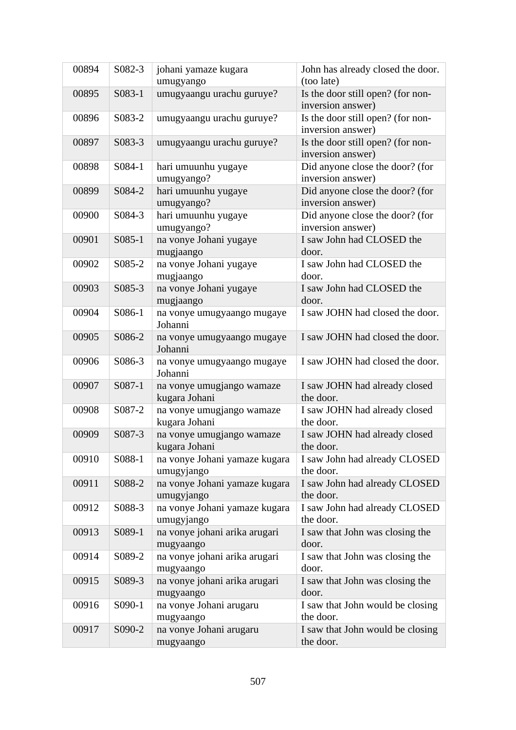| 00894 | S082-3 | johani yamaze kugara          | John has already closed the door. |
|-------|--------|-------------------------------|-----------------------------------|
|       |        | umugyango                     | (too late)                        |
| 00895 | S083-1 | umugyaangu urachu guruye?     | Is the door still open? (for non- |
|       |        |                               | inversion answer)                 |
| 00896 | S083-2 | umugyaangu urachu guruye?     | Is the door still open? (for non- |
|       |        |                               | inversion answer)                 |
| 00897 | S083-3 | umugyaangu urachu guruye?     | Is the door still open? (for non- |
|       |        |                               | inversion answer)                 |
| 00898 | S084-1 | hari umuunhu yugaye           | Did anyone close the door? (for   |
|       |        | umugyango?                    | inversion answer)                 |
| 00899 | S084-2 | hari umuunhu yugaye           | Did anyone close the door? (for   |
|       |        | umugyango?                    | inversion answer)                 |
| 00900 | S084-3 | hari umuunhu yugaye           | Did anyone close the door? (for   |
|       |        | umugyango?                    | inversion answer)                 |
| 00901 | S085-1 | na vonye Johani yugaye        | I saw John had CLOSED the         |
|       |        | mugjaango                     | door.                             |
| 00902 | S085-2 | na vonye Johani yugaye        | I saw John had CLOSED the         |
|       |        | mugjaango                     | door.                             |
| 00903 | S085-3 | na vonye Johani yugaye        | I saw John had CLOSED the         |
|       |        | mugjaango                     | door.                             |
| 00904 | S086-1 | na vonye umugyaango mugaye    | I saw JOHN had closed the door.   |
|       |        | Johanni                       |                                   |
| 00905 | S086-2 | na vonye umugyaango mugaye    | I saw JOHN had closed the door.   |
|       |        | Johanni                       |                                   |
| 00906 | S086-3 | na vonye umugyaango mugaye    | I saw JOHN had closed the door.   |
|       |        | Johanni                       |                                   |
| 00907 | S087-1 | na vonye umugjango wamaze     | I saw JOHN had already closed     |
|       |        | kugara Johani                 | the door.                         |
| 00908 | S087-2 | na vonye umugjango wamaze     | I saw JOHN had already closed     |
|       |        | kugara Johani                 | the door.                         |
| 00909 | S087-3 | na vonye umugjango wamaze     | I saw JOHN had already closed     |
|       |        | kugara Johani                 | the door.                         |
| 00910 | S088-1 | na vonye Johani yamaze kugara | I saw John had already CLOSED     |
|       |        | umugyjango                    | the door.                         |
| 00911 | S088-2 | na vonye Johani yamaze kugara | I saw John had already CLOSED     |
|       |        | umugyjango                    | the door.                         |
| 00912 | S088-3 | na vonye Johani yamaze kugara | I saw John had already CLOSED     |
|       |        | umugyjango                    | the door.                         |
| 00913 | S089-1 | na vonye johani arika arugari | I saw that John was closing the   |
|       |        | mugyaango                     | door.                             |
| 00914 | S089-2 | na vonye johani arika arugari | I saw that John was closing the   |
|       |        | mugyaango                     | door.                             |
| 00915 | S089-3 | na vonye johani arika arugari | I saw that John was closing the   |
|       |        | mugyaango                     | door.                             |
| 00916 | S090-1 | na vonye Johani arugaru       | I saw that John would be closing  |
|       |        | mugyaango                     | the door.                         |
| 00917 | S090-2 | na vonye Johani arugaru       | I saw that John would be closing  |
|       |        | mugyaango                     | the door.                         |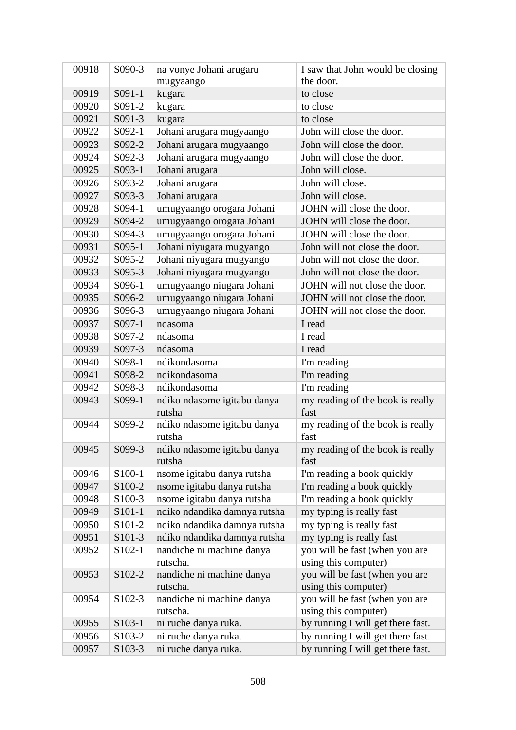| the door.<br>mugyaango<br>00919<br>S091-1<br>to close<br>kugara<br>00920<br>S091-2<br>kugara<br>to close<br>00921<br>S091-3<br>kugara<br>to close<br>Johani arugara mugyaango<br>John will close the door.<br>00922<br>$S092-1$<br>John will close the door.<br>00923<br>S092-2<br>Johani arugara mugyaango<br>Johani arugara mugyaango<br>00924<br>John will close the door.<br>S092-3<br>S093-1<br>Johani arugara<br>John will close.<br>00925<br>Johani arugara<br>00926<br>S093-2<br>John will close.<br>Johani arugara<br>John will close.<br>00927<br>S093-3<br>JOHN will close the door.<br>00928<br>S094-1<br>umugyaango orogara Johani<br>S094-2<br>umugyaango orogara Johani<br>00929<br>JOHN will close the door.<br>00930<br>S094-3<br>umugyaango orogara Johani<br>JOHN will close the door.<br>00931<br>$S095-1$<br>Johani niyugara mugyango<br>John will not close the door.<br>Johani niyugara mugyango<br>00932<br>S095-2<br>John will not close the door.<br>Johani niyugara mugyango<br>00933<br>$S095-3$<br>John will not close the door.<br>00934<br>S096-1<br>umugyaango niugara Johani<br>JOHN will not close the door.<br>umugyaango niugara Johani<br>JOHN will not close the door.<br>S096-2<br>00935 |
|---------------------------------------------------------------------------------------------------------------------------------------------------------------------------------------------------------------------------------------------------------------------------------------------------------------------------------------------------------------------------------------------------------------------------------------------------------------------------------------------------------------------------------------------------------------------------------------------------------------------------------------------------------------------------------------------------------------------------------------------------------------------------------------------------------------------------------------------------------------------------------------------------------------------------------------------------------------------------------------------------------------------------------------------------------------------------------------------------------------------------------------------------------------------------------------------------------------------------------|
|                                                                                                                                                                                                                                                                                                                                                                                                                                                                                                                                                                                                                                                                                                                                                                                                                                                                                                                                                                                                                                                                                                                                                                                                                                 |
|                                                                                                                                                                                                                                                                                                                                                                                                                                                                                                                                                                                                                                                                                                                                                                                                                                                                                                                                                                                                                                                                                                                                                                                                                                 |
|                                                                                                                                                                                                                                                                                                                                                                                                                                                                                                                                                                                                                                                                                                                                                                                                                                                                                                                                                                                                                                                                                                                                                                                                                                 |
|                                                                                                                                                                                                                                                                                                                                                                                                                                                                                                                                                                                                                                                                                                                                                                                                                                                                                                                                                                                                                                                                                                                                                                                                                                 |
|                                                                                                                                                                                                                                                                                                                                                                                                                                                                                                                                                                                                                                                                                                                                                                                                                                                                                                                                                                                                                                                                                                                                                                                                                                 |
|                                                                                                                                                                                                                                                                                                                                                                                                                                                                                                                                                                                                                                                                                                                                                                                                                                                                                                                                                                                                                                                                                                                                                                                                                                 |
|                                                                                                                                                                                                                                                                                                                                                                                                                                                                                                                                                                                                                                                                                                                                                                                                                                                                                                                                                                                                                                                                                                                                                                                                                                 |
|                                                                                                                                                                                                                                                                                                                                                                                                                                                                                                                                                                                                                                                                                                                                                                                                                                                                                                                                                                                                                                                                                                                                                                                                                                 |
|                                                                                                                                                                                                                                                                                                                                                                                                                                                                                                                                                                                                                                                                                                                                                                                                                                                                                                                                                                                                                                                                                                                                                                                                                                 |
|                                                                                                                                                                                                                                                                                                                                                                                                                                                                                                                                                                                                                                                                                                                                                                                                                                                                                                                                                                                                                                                                                                                                                                                                                                 |
|                                                                                                                                                                                                                                                                                                                                                                                                                                                                                                                                                                                                                                                                                                                                                                                                                                                                                                                                                                                                                                                                                                                                                                                                                                 |
|                                                                                                                                                                                                                                                                                                                                                                                                                                                                                                                                                                                                                                                                                                                                                                                                                                                                                                                                                                                                                                                                                                                                                                                                                                 |
|                                                                                                                                                                                                                                                                                                                                                                                                                                                                                                                                                                                                                                                                                                                                                                                                                                                                                                                                                                                                                                                                                                                                                                                                                                 |
|                                                                                                                                                                                                                                                                                                                                                                                                                                                                                                                                                                                                                                                                                                                                                                                                                                                                                                                                                                                                                                                                                                                                                                                                                                 |
|                                                                                                                                                                                                                                                                                                                                                                                                                                                                                                                                                                                                                                                                                                                                                                                                                                                                                                                                                                                                                                                                                                                                                                                                                                 |
|                                                                                                                                                                                                                                                                                                                                                                                                                                                                                                                                                                                                                                                                                                                                                                                                                                                                                                                                                                                                                                                                                                                                                                                                                                 |
|                                                                                                                                                                                                                                                                                                                                                                                                                                                                                                                                                                                                                                                                                                                                                                                                                                                                                                                                                                                                                                                                                                                                                                                                                                 |
|                                                                                                                                                                                                                                                                                                                                                                                                                                                                                                                                                                                                                                                                                                                                                                                                                                                                                                                                                                                                                                                                                                                                                                                                                                 |
| umugyaango niugara Johani<br>00936<br>S096-3<br>JOHN will not close the door.                                                                                                                                                                                                                                                                                                                                                                                                                                                                                                                                                                                                                                                                                                                                                                                                                                                                                                                                                                                                                                                                                                                                                   |
| ndasoma<br>00937<br>S097-1<br>I read                                                                                                                                                                                                                                                                                                                                                                                                                                                                                                                                                                                                                                                                                                                                                                                                                                                                                                                                                                                                                                                                                                                                                                                            |
| I read<br>00938<br>S097-2<br>ndasoma                                                                                                                                                                                                                                                                                                                                                                                                                                                                                                                                                                                                                                                                                                                                                                                                                                                                                                                                                                                                                                                                                                                                                                                            |
| 00939<br>S097-3<br>ndasoma<br>I read                                                                                                                                                                                                                                                                                                                                                                                                                                                                                                                                                                                                                                                                                                                                                                                                                                                                                                                                                                                                                                                                                                                                                                                            |
| ndikondasoma<br>I'm reading<br>00940<br>S098-1                                                                                                                                                                                                                                                                                                                                                                                                                                                                                                                                                                                                                                                                                                                                                                                                                                                                                                                                                                                                                                                                                                                                                                                  |
| 00941<br>S098-2<br>ndikondasoma<br>I'm reading                                                                                                                                                                                                                                                                                                                                                                                                                                                                                                                                                                                                                                                                                                                                                                                                                                                                                                                                                                                                                                                                                                                                                                                  |
| ndikondasoma<br>00942<br>S098-3<br>I'm reading                                                                                                                                                                                                                                                                                                                                                                                                                                                                                                                                                                                                                                                                                                                                                                                                                                                                                                                                                                                                                                                                                                                                                                                  |
| my reading of the book is really<br>00943<br>S099-1<br>ndiko ndasome igitabu danya                                                                                                                                                                                                                                                                                                                                                                                                                                                                                                                                                                                                                                                                                                                                                                                                                                                                                                                                                                                                                                                                                                                                              |
| fast<br>rutsha                                                                                                                                                                                                                                                                                                                                                                                                                                                                                                                                                                                                                                                                                                                                                                                                                                                                                                                                                                                                                                                                                                                                                                                                                  |
| 00944<br>S099-2<br>ndiko ndasome igitabu danya<br>my reading of the book is really                                                                                                                                                                                                                                                                                                                                                                                                                                                                                                                                                                                                                                                                                                                                                                                                                                                                                                                                                                                                                                                                                                                                              |
| fast<br>rutsha                                                                                                                                                                                                                                                                                                                                                                                                                                                                                                                                                                                                                                                                                                                                                                                                                                                                                                                                                                                                                                                                                                                                                                                                                  |
| S099-3<br>00945<br>ndiko ndasome igitabu danya<br>my reading of the book is really                                                                                                                                                                                                                                                                                                                                                                                                                                                                                                                                                                                                                                                                                                                                                                                                                                                                                                                                                                                                                                                                                                                                              |
| rutsha<br>fast                                                                                                                                                                                                                                                                                                                                                                                                                                                                                                                                                                                                                                                                                                                                                                                                                                                                                                                                                                                                                                                                                                                                                                                                                  |
| 00946<br>S100-1<br>nsome igitabu danya rutsha<br>I'm reading a book quickly                                                                                                                                                                                                                                                                                                                                                                                                                                                                                                                                                                                                                                                                                                                                                                                                                                                                                                                                                                                                                                                                                                                                                     |
| S100-2<br>I'm reading a book quickly<br>00947<br>nsome igitabu danya rutsha                                                                                                                                                                                                                                                                                                                                                                                                                                                                                                                                                                                                                                                                                                                                                                                                                                                                                                                                                                                                                                                                                                                                                     |
| I'm reading a book quickly<br>00948<br>S100-3<br>nsome igitabu danya rutsha<br>ndiko ndandika damnya rutsha                                                                                                                                                                                                                                                                                                                                                                                                                                                                                                                                                                                                                                                                                                                                                                                                                                                                                                                                                                                                                                                                                                                     |
| my typing is really fast<br>00949<br>S101-1<br>S101-2                                                                                                                                                                                                                                                                                                                                                                                                                                                                                                                                                                                                                                                                                                                                                                                                                                                                                                                                                                                                                                                                                                                                                                           |
| ndiko ndandika damnya rutsha<br>my typing is really fast<br>00950<br>ndiko ndandika damnya rutsha<br>S101-3<br>00951                                                                                                                                                                                                                                                                                                                                                                                                                                                                                                                                                                                                                                                                                                                                                                                                                                                                                                                                                                                                                                                                                                            |
| my typing is really fast<br>nandiche ni machine danya<br>you will be fast (when you are<br>00952<br>S102-1                                                                                                                                                                                                                                                                                                                                                                                                                                                                                                                                                                                                                                                                                                                                                                                                                                                                                                                                                                                                                                                                                                                      |
| rutscha.<br>using this computer)                                                                                                                                                                                                                                                                                                                                                                                                                                                                                                                                                                                                                                                                                                                                                                                                                                                                                                                                                                                                                                                                                                                                                                                                |
| you will be fast (when you are<br>nandiche ni machine danya<br>00953<br>S102-2                                                                                                                                                                                                                                                                                                                                                                                                                                                                                                                                                                                                                                                                                                                                                                                                                                                                                                                                                                                                                                                                                                                                                  |
| using this computer)<br>rutscha.                                                                                                                                                                                                                                                                                                                                                                                                                                                                                                                                                                                                                                                                                                                                                                                                                                                                                                                                                                                                                                                                                                                                                                                                |
| you will be fast (when you are<br>00954<br>S102-3<br>nandiche ni machine danya                                                                                                                                                                                                                                                                                                                                                                                                                                                                                                                                                                                                                                                                                                                                                                                                                                                                                                                                                                                                                                                                                                                                                  |
| rutscha.<br>using this computer)                                                                                                                                                                                                                                                                                                                                                                                                                                                                                                                                                                                                                                                                                                                                                                                                                                                                                                                                                                                                                                                                                                                                                                                                |
| S103-1<br>by running I will get there fast.<br>ni ruche danya ruka.<br>00955                                                                                                                                                                                                                                                                                                                                                                                                                                                                                                                                                                                                                                                                                                                                                                                                                                                                                                                                                                                                                                                                                                                                                    |
| ni ruche danya ruka.<br>by running I will get there fast.<br>S103-2<br>00956                                                                                                                                                                                                                                                                                                                                                                                                                                                                                                                                                                                                                                                                                                                                                                                                                                                                                                                                                                                                                                                                                                                                                    |
| ni ruche danya ruka.<br>by running I will get there fast.<br>S103-3<br>00957                                                                                                                                                                                                                                                                                                                                                                                                                                                                                                                                                                                                                                                                                                                                                                                                                                                                                                                                                                                                                                                                                                                                                    |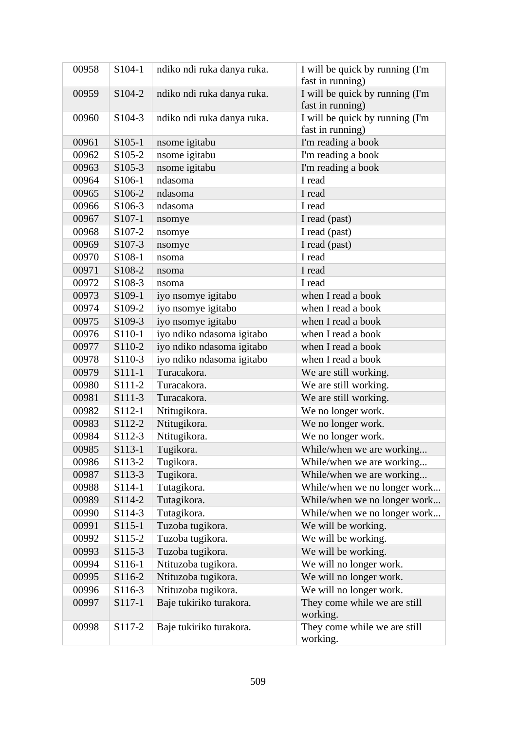| 00958 | S104-1              | ndiko ndi ruka danya ruka. | I will be quick by running (I'm<br>fast in running) |
|-------|---------------------|----------------------------|-----------------------------------------------------|
| 00959 | S104-2              | ndiko ndi ruka danya ruka. | I will be quick by running (I'm<br>fast in running) |
| 00960 | S <sub>104</sub> -3 | ndiko ndi ruka danya ruka. | I will be quick by running (I'm<br>fast in running) |
| 00961 | S105-1              | nsome igitabu              | I'm reading a book                                  |
| 00962 | S105-2              | nsome igitabu              | I'm reading a book                                  |
| 00963 | S105-3              | nsome igitabu              | I'm reading a book                                  |
| 00964 | S106-1              | ndasoma                    | I read                                              |
| 00965 | S106-2              | ndasoma                    | I read                                              |
| 00966 | S <sub>106</sub> -3 | ndasoma                    | I read                                              |
| 00967 | S107-1              | nsomye                     | I read (past)                                       |
| 00968 | S107-2              | nsomye                     | I read (past)                                       |
| 00969 | S107-3              | nsomye                     | I read (past)                                       |
| 00970 | S108-1              | nsoma                      | I read                                              |
| 00971 | S108-2              | nsoma                      | I read                                              |
| 00972 | S108-3              | nsoma                      | I read                                              |
| 00973 | S109-1              | iyo nsomye igitabo         | when I read a book                                  |
| 00974 | S <sub>109</sub> -2 | iyo nsomye igitabo         | when I read a book                                  |
| 00975 | S109-3              | iyo nsomye igitabo         | when I read a book                                  |
| 00976 | S110-1              | iyo ndiko ndasoma igitabo  | when I read a book                                  |
| 00977 | S110-2              | iyo ndiko ndasoma igitabo  | when I read a book                                  |
| 00978 | S110-3              | iyo ndiko ndasoma igitabo  | when I read a book                                  |
| 00979 | S111-1              | Turacakora.                | We are still working.                               |
| 00980 | S111-2              | Turacakora.                | We are still working.                               |
| 00981 | S111-3              | Turacakora.                | We are still working.                               |
| 00982 | S112-1              | Ntitugikora.               | We no longer work.                                  |
| 00983 | S112-2              | Ntitugikora.               | We no longer work.                                  |
| 00984 | S112-3              | Ntitugikora.               | We no longer work.                                  |
| 00985 | S113-1              | Tugikora.                  | While/when we are working                           |
| 00986 | S113-2              | Tugikora.                  | While/when we are working                           |
| 00987 | S113-3              | Tugikora.                  | While/when we are working                           |
| 00988 | S114-1              | Tutagikora.                | While/when we no longer work                        |
| 00989 | S114-2              | Tutagikora.                | While/when we no longer work                        |
| 00990 | S114-3              | Tutagikora.                | While/when we no longer work                        |
| 00991 | S115-1              | Tuzoba tugikora.           | We will be working.                                 |
| 00992 | S115-2              | Tuzoba tugikora.           | We will be working.                                 |
| 00993 | S115-3              | Tuzoba tugikora.           | We will be working.                                 |
| 00994 | S116-1              | Ntituzoba tugikora.        | We will no longer work.                             |
| 00995 | S116-2              | Ntituzoba tugikora.        | We will no longer work.                             |
| 00996 | S116-3              | Ntituzoba tugikora.        | We will no longer work.                             |
| 00997 | S117-1              | Baje tukiriko turakora.    | They come while we are still<br>working.            |
| 00998 | S <sub>117</sub> -2 | Baje tukiriko turakora.    | They come while we are still<br>working.            |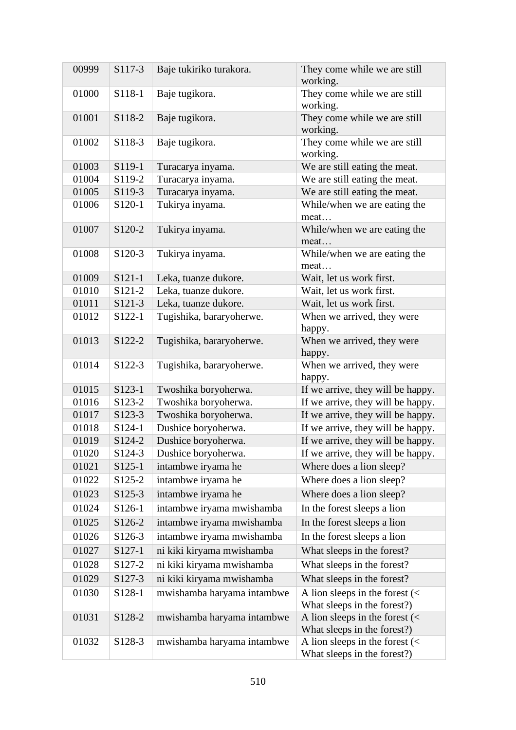| 00999 | S117-3 | Baje tukiriko turakora.    | They come while we are still<br>working.                                                |
|-------|--------|----------------------------|-----------------------------------------------------------------------------------------|
| 01000 | S118-1 | Baje tugikora.             | They come while we are still<br>working.                                                |
| 01001 | S118-2 | Baje tugikora.             | They come while we are still<br>working.                                                |
| 01002 | S118-3 | Baje tugikora.             | They come while we are still<br>working.                                                |
| 01003 | S119-1 | Turacarya inyama.          | We are still eating the meat.                                                           |
| 01004 | S119-2 | Turacarya inyama.          | We are still eating the meat.                                                           |
| 01005 | S119-3 | Turacarya inyama.          | We are still eating the meat.                                                           |
| 01006 | S120-1 | Tukirya inyama.            | While/when we are eating the<br>meat                                                    |
| 01007 | S120-2 | Tukirya inyama.            | While/when we are eating the<br>meat                                                    |
| 01008 | S120-3 | Tukirya inyama.            | While/when we are eating the<br>meat                                                    |
| 01009 | S121-1 | Leka, tuanze dukore.       | Wait, let us work first.                                                                |
| 01010 | S121-2 | Leka, tuanze dukore.       | Wait, let us work first.                                                                |
| 01011 | S121-3 | Leka, tuanze dukore.       | Wait, let us work first.                                                                |
| 01012 | S122-1 | Tugishika, bararyoherwe.   | When we arrived, they were<br>happy.                                                    |
| 01013 | S122-2 | Tugishika, bararyoherwe.   | When we arrived, they were<br>happy.                                                    |
| 01014 | S122-3 | Tugishika, bararyoherwe.   | When we arrived, they were<br>happy.                                                    |
| 01015 | S123-1 | Twoshika boryoherwa.       | If we arrive, they will be happy.                                                       |
| 01016 | S123-2 | Twoshika boryoherwa.       | If we arrive, they will be happy.                                                       |
| 01017 | S123-3 | Twoshika boryoherwa.       | If we arrive, they will be happy.                                                       |
| 01018 | S124-1 | Dushice boryoherwa.        | If we arrive, they will be happy.                                                       |
| 01019 | S124-2 | Dushice boryoherwa.        | If we arrive, they will be happy.                                                       |
| 01020 | S124-3 | Dushice boryoherwa.        | If we arrive, they will be happy.                                                       |
| 01021 | S125-1 | intambwe iryama he         | Where does a lion sleep?                                                                |
| 01022 | S125-2 | intambwe iryama he         | Where does a lion sleep?                                                                |
| 01023 | S125-3 | intambwe iryama he         | Where does a lion sleep?                                                                |
| 01024 | S126-1 | intambwe iryama mwishamba  | In the forest sleeps a lion                                                             |
| 01025 | S126-2 | intambwe iryama mwishamba  | In the forest sleeps a lion                                                             |
| 01026 | S126-3 | intambwe iryama mwishamba  | In the forest sleeps a lion                                                             |
| 01027 | S127-1 | ni kiki kiryama mwishamba  | What sleeps in the forest?                                                              |
| 01028 | S127-2 | ni kiki kiryama mwishamba  | What sleeps in the forest?                                                              |
| 01029 | S127-3 | ni kiki kiryama mwishamba  | What sleeps in the forest?                                                              |
| 01030 | S128-1 | mwishamba haryama intambwe | A lion sleeps in the forest $\left\langle \right\rangle$                                |
|       |        |                            | What sleeps in the forest?)                                                             |
| 01031 | S128-2 | mwishamba haryama intambwe | A lion sleeps in the forest $\left($ <<br>What sleeps in the forest?)                   |
| 01032 | S128-3 | mwishamba haryama intambwe | A lion sleeps in the forest $\left\langle \right\rangle$<br>What sleeps in the forest?) |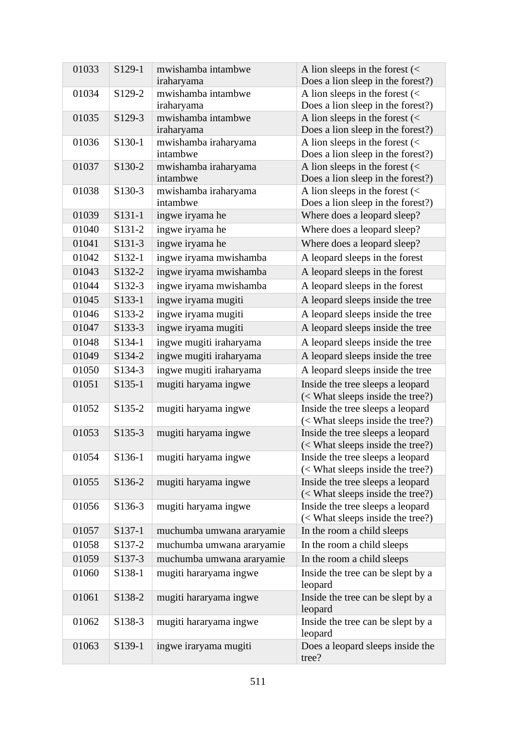| 01033 | S129-1   | mwishamba intambwe               | A lion sleeps in the forest $\left\langle \right\rangle$             |
|-------|----------|----------------------------------|----------------------------------------------------------------------|
|       |          | iraharyama                       | Does a lion sleep in the forest?)                                    |
| 01034 | S129-2   | mwishamba intambwe               | A lion sleeps in the forest $\left\langle \right\rangle$             |
|       |          | iraharyama                       | Does a lion sleep in the forest?)                                    |
| 01035 | S129-3   | mwishamba intambwe               | A lion sleeps in the forest $\left\langle \right\rangle$             |
|       |          | iraharyama                       | Does a lion sleep in the forest?)                                    |
| 01036 | S130-1   | mwishamba iraharyama             | A lion sleeps in the forest $\left\langle \right\rangle$             |
|       |          | intambwe                         | Does a lion sleep in the forest?)                                    |
| 01037 | S130-2   | mwishamba iraharyama             | A lion sleeps in the forest $\left\langle \right\rangle$             |
|       |          | intambwe                         | Does a lion sleep in the forest?)                                    |
| 01038 | S130-3   | mwishamba iraharyama<br>intambwe | A lion sleeps in the forest $\left\langle \right\rangle$             |
| 01039 | S131-1   | ingwe iryama he                  | Does a lion sleep in the forest?)<br>Where does a leopard sleep?     |
|       |          |                                  |                                                                      |
| 01040 | S131-2   | ingwe iryama he                  | Where does a leopard sleep?                                          |
| 01041 | S131-3   | ingwe iryama he                  | Where does a leopard sleep?                                          |
| 01042 | S132-1   | ingwe iryama mwishamba           | A leopard sleeps in the forest                                       |
| 01043 | S132-2   | ingwe iryama mwishamba           | A leopard sleeps in the forest                                       |
| 01044 | S132-3   | ingwe iryama mwishamba           | A leopard sleeps in the forest                                       |
| 01045 | S133-1   | ingwe iryama mugiti              | A leopard sleeps inside the tree                                     |
| 01046 | S133-2   | ingwe iryama mugiti              | A leopard sleeps inside the tree                                     |
| 01047 | S133-3   | ingwe iryama mugiti              | A leopard sleeps inside the tree                                     |
| 01048 | S134-1   | ingwe mugiti iraharyama          | A leopard sleeps inside the tree                                     |
| 01049 | S134-2   | ingwe mugiti iraharyama          | A leopard sleeps inside the tree                                     |
| 01050 | S134-3   | ingwe mugiti iraharyama          | A leopard sleeps inside the tree                                     |
| 01051 | S135-1   | mugiti haryama ingwe             | Inside the tree sleeps a leopard                                     |
|       |          |                                  | (< What sleeps inside the tree?)                                     |
| 01052 | S135-2   | mugiti haryama ingwe             | Inside the tree sleeps a leopard                                     |
|       |          |                                  | (< What sleeps inside the tree?)                                     |
| 01053 | $S135-3$ | mugiti haryama ingwe             | Inside the tree sleeps a leopard                                     |
|       |          |                                  | (< What sleeps inside the tree?)                                     |
| 01054 | S136-1   | mugiti haryama ingwe             | Inside the tree sleeps a leopard                                     |
|       |          |                                  | (< What sleeps inside the tree?)                                     |
| 01055 | S136-2   | mugiti haryama ingwe             | Inside the tree sleeps a leopard<br>(< What sleeps inside the tree?) |
| 01056 | S136-3   | mugiti haryama ingwe             | Inside the tree sleeps a leopard                                     |
|       |          |                                  | (< What sleeps inside the tree?)                                     |
| 01057 | S137-1   | muchumba umwana araryamie        | In the room a child sleeps                                           |
| 01058 | S137-2   | muchumba umwana araryamie        | In the room a child sleeps                                           |
| 01059 | S137-3   | muchumba umwana araryamie        | In the room a child sleeps                                           |
| 01060 | S138-1   |                                  |                                                                      |
|       |          | mugiti hararyama ingwe           | Inside the tree can be slept by a<br>leopard                         |
| 01061 | S138-2   | mugiti hararyama ingwe           | Inside the tree can be slept by a<br>leopard                         |
| 01062 | S138-3   | mugiti hararyama ingwe           | Inside the tree can be slept by a                                    |
|       |          |                                  | leopard                                                              |
| 01063 | S139-1   | ingwe iraryama mugiti            | Does a leopard sleeps inside the<br>tree?                            |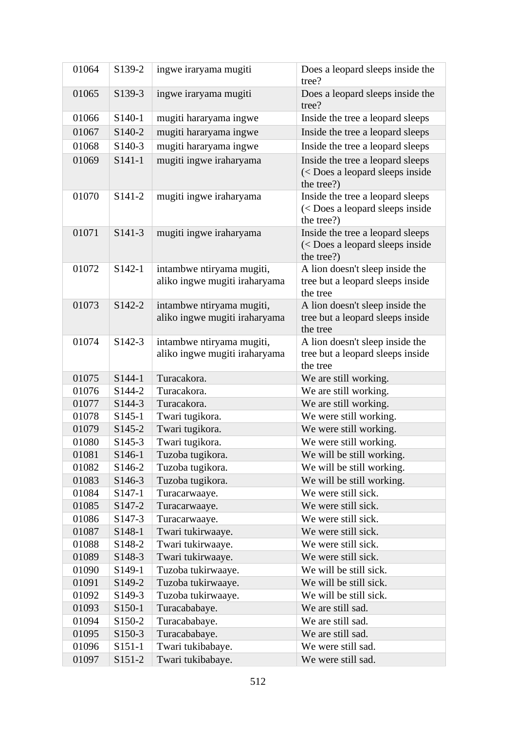| 01064          | S139-2                                     | ingwe iraryama mugiti                                      | Does a leopard sleeps inside the<br>tree?                                         |
|----------------|--------------------------------------------|------------------------------------------------------------|-----------------------------------------------------------------------------------|
| 01065          | S139-3                                     | ingwe iraryama mugiti                                      | Does a leopard sleeps inside the<br>tree?                                         |
| 01066          | S140-1                                     | mugiti hararyama ingwe                                     | Inside the tree a leopard sleeps                                                  |
| 01067          | S140-2                                     | mugiti hararyama ingwe                                     | Inside the tree a leopard sleeps                                                  |
| 01068          | S140-3                                     | mugiti hararyama ingwe                                     | Inside the tree a leopard sleeps                                                  |
| 01069          | $S141-1$                                   | mugiti ingwe iraharyama                                    | Inside the tree a leopard sleeps                                                  |
|                |                                            |                                                            | (< Does a leopard sleeps inside<br>the tree?)                                     |
| 01070          | S141-2                                     | mugiti ingwe iraharyama                                    | Inside the tree a leopard sleeps<br>(< Does a leopard sleeps inside<br>the tree?) |
| 01071          | S141-3                                     | mugiti ingwe iraharyama                                    | Inside the tree a leopard sleeps<br>(< Does a leopard sleeps inside<br>the tree?) |
| 01072          | $S142-1$                                   | intambwe ntiryama mugiti,<br>aliko ingwe mugiti iraharyama | A lion doesn't sleep inside the<br>tree but a leopard sleeps inside<br>the tree   |
| 01073          | S142-2                                     | intambwe ntiryama mugiti,<br>aliko ingwe mugiti iraharyama | A lion doesn't sleep inside the<br>tree but a leopard sleeps inside<br>the tree   |
| 01074          | S142-3                                     | intambwe ntiryama mugiti,<br>aliko ingwe mugiti iraharyama | A lion doesn't sleep inside the<br>tree but a leopard sleeps inside<br>the tree   |
| 01075          | $S144-1$                                   | Turacakora.                                                | We are still working.                                                             |
| 01076          | S144-2                                     | Turacakora.                                                | We are still working.                                                             |
| 01077          | S144-3                                     | Turacakora.                                                | We are still working.                                                             |
| 01078          | $S145-1$                                   | Twari tugikora.                                            | We were still working.                                                            |
| 01079          | S145-2                                     | Twari tugikora.                                            | We were still working.                                                            |
| 01080          | S145-3                                     | Twari tugikora.                                            | We were still working.                                                            |
| 01081          | S <sub>146</sub> -1                        | Tuzoba tugikora.                                           | We will be still working.                                                         |
| 01082          | S <sub>146</sub> -2                        | Tuzoba tugikora.                                           | We will be still working.                                                         |
| 01083          | S <sub>146</sub> -3                        | Tuzoba tugikora.                                           | We will be still working.                                                         |
| 01084          | S <sub>147</sub> -1                        | Turacarwaaye.                                              | We were still sick.                                                               |
| 01085          | S <sub>147</sub> -2                        | Turacarwaaye.                                              | We were still sick.                                                               |
| 01086          | S <sub>147</sub> -3                        | Turacarwaaye.                                              | We were still sick.                                                               |
| 01087          | S <sub>148</sub> -1                        | Twari tukirwaaye.                                          | We were still sick.                                                               |
| 01088          | S <sub>148</sub> -2                        | Twari tukirwaaye.                                          | We were still sick.                                                               |
| 01089          | S148-3                                     | Twari tukirwaaye.                                          | We were still sick.                                                               |
| 01090          | S <sub>149</sub> -1                        | Tuzoba tukirwaaye.                                         | We will be still sick.<br>We will be still sick.                                  |
| 01091<br>01092 | S <sub>149</sub> -2                        | Tuzoba tukirwaaye.                                         | We will be still sick.                                                            |
| 01093          | S <sub>149</sub> -3<br>S <sub>150</sub> -1 | Tuzoba tukirwaaye.<br>Turacababaye.                        | We are still sad.                                                                 |
| 01094          | S <sub>150</sub> -2                        | Turacababaye.                                              | We are still sad.                                                                 |
| 01095          | S <sub>150</sub> -3                        | Turacababaye.                                              | We are still sad.                                                                 |
| 01096          | S <sub>151</sub> -1                        | Twari tukibabaye.                                          | We were still sad.                                                                |
| 01097          | S <sub>151</sub> -2                        | Twari tukibabaye.                                          | We were still sad.                                                                |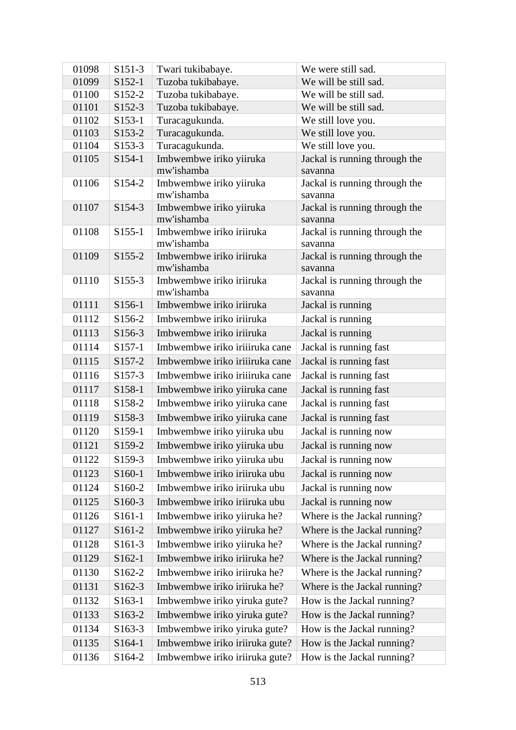| 01098 | $S151-3$            | Twari tukibabaye.                     | We were still sad.                       |
|-------|---------------------|---------------------------------------|------------------------------------------|
| 01099 | S152-1              | Tuzoba tukibabaye.                    | We will be still sad.                    |
| 01100 | S152-2              | Tuzoba tukibabaye.                    | We will be still sad.                    |
| 01101 | S152-3              | Tuzoba tukibabaye.                    | We will be still sad.                    |
| 01102 | $S153-1$            | Turacagukunda.                        | We still love you.                       |
| 01103 | S153-2              | Turacagukunda.                        | We still love you.                       |
| 01104 | S153-3              | Turacagukunda.                        | We still love you.                       |
| 01105 | S <sub>154</sub> -1 | Imbwembwe iriko yiiruka               | Jackal is running through the            |
|       |                     | mw'ishamba                            | savanna                                  |
| 01106 | S154-2              | Imbwembwe iriko yiiruka               | Jackal is running through the            |
| 01107 | S154-3              | mw'ishamba                            | savanna                                  |
|       |                     | Imbwembwe iriko yiiruka<br>mw'ishamba | Jackal is running through the<br>savanna |
| 01108 | $S155-1$            | Imbwembwe iriko iriiruka              | Jackal is running through the            |
|       |                     | mw'ishamba                            | savanna                                  |
| 01109 | S155-2              | Imbwembwe iriko iriiruka              | Jackal is running through the            |
|       |                     | mw'ishamba                            | savanna                                  |
| 01110 | $S155-3$            | Imbwembwe iriko iriiruka              | Jackal is running through the            |
|       |                     | mw'ishamba                            | savanna                                  |
| 01111 | S156-1              | Imbwembwe iriko iriiruka              | Jackal is running                        |
| 01112 | S <sub>156</sub> -2 | Imbwembwe iriko iriiruka              | Jackal is running                        |
| 01113 | S <sub>156</sub> -3 | Imbwembwe iriko iriiruka              | Jackal is running                        |
| 01114 | S157-1              | Imbwembwe iriko iriiiruka cane        | Jackal is running fast                   |
| 01115 | S157-2              | Imbwembwe iriko iriiiruka cane        | Jackal is running fast                   |
| 01116 | S <sub>157</sub> -3 | Imbwembwe iriko iriiiruka cane        | Jackal is running fast                   |
| 01117 | S158-1              | Imbwembwe iriko yiiruka cane          | Jackal is running fast                   |
| 01118 | S <sub>158</sub> -2 | Imbwembwe iriko yiiruka cane          | Jackal is running fast                   |
| 01119 | S158-3              | Imbwembwe iriko yiiruka cane          | Jackal is running fast                   |
| 01120 | S159-1              | Imbwembwe iriko yiiruka ubu           | Jackal is running now                    |
| 01121 | S159-2              | Imbwembwe iriko yiiruka ubu           | Jackal is running now                    |
| 01122 | S159-3              | Imbwembwe iriko yiiruka ubu           | Jackal is running now                    |
| 01123 | S160-1              | Imbwembwe iriko iriiruka ubu          | Jackal is running now                    |
| 01124 | S160-2              | Imbwembwe iriko iriiruka ubu          | Jackal is running now                    |
| 01125 | S160-3              | Imbwembwe iriko iriiruka ubu          | Jackal is running now                    |
| 01126 | S161-1              | Imbwembwe iriko yiiruka he?           | Where is the Jackal running?             |
| 01127 | S161-2              | Imbwembwe iriko yiiruka he?           | Where is the Jackal running?             |
| 01128 | S161-3              | Imbwembwe iriko yiiruka he?           | Where is the Jackal running?             |
| 01129 | $S162-1$            | Imbwembwe iriko iriiruka he?          | Where is the Jackal running?             |
| 01130 | S162-2              | Imbwembwe iriko iriiruka he?          | Where is the Jackal running?             |
| 01131 | S162-3              | Imbwembwe iriko iriiruka he?          | Where is the Jackal running?             |
| 01132 | $S163-1$            | Imbwembwe iriko yiruka gute?          | How is the Jackal running?               |
| 01133 | S163-2              | Imbwembwe iriko yiruka gute?          | How is the Jackal running?               |
| 01134 | $S163-3$            |                                       |                                          |
|       |                     | Imbwembwe iriko yiruka gute?          | How is the Jackal running?               |
| 01135 | S164-1              | Imbwembwe iriko iriiruka gute?        | How is the Jackal running?               |
| 01136 | S164-2              | Imbwembwe iriko iriiruka gute?        | How is the Jackal running?               |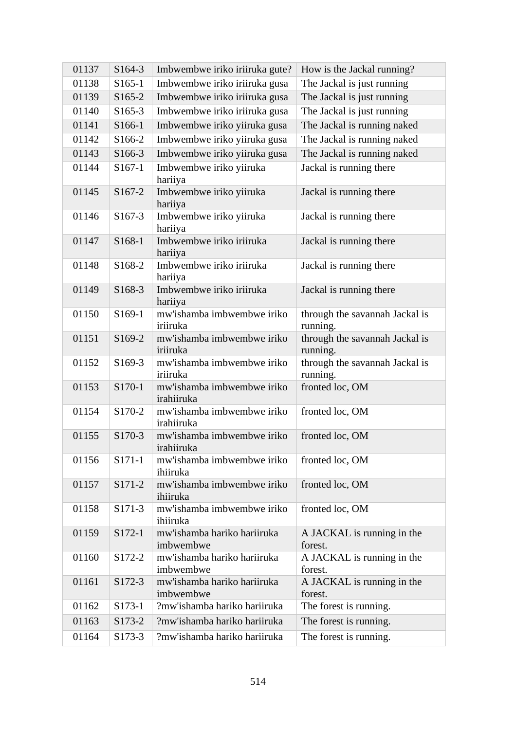| 01137 | S164-3              | Imbwembwe iriko iriiruka gute?           | How is the Jackal running?                 |
|-------|---------------------|------------------------------------------|--------------------------------------------|
| 01138 | $S165-1$            | Imbwembwe iriko iriiruka gusa            | The Jackal is just running                 |
| 01139 | S165-2              | Imbwembwe iriko iriiruka gusa            | The Jackal is just running                 |
| 01140 | $S165-3$            | Imbwembwe iriko iriiruka gusa            | The Jackal is just running                 |
| 01141 | S166-1              | Imbwembwe iriko yiiruka gusa             | The Jackal is running naked                |
| 01142 | S166-2              | Imbwembwe iriko yiiruka gusa             | The Jackal is running naked                |
| 01143 | S166-3              | Imbwembwe iriko yiiruka gusa             | The Jackal is running naked                |
| 01144 | S <sub>167</sub> -1 | Imbwembwe iriko yiiruka<br>hariiya       | Jackal is running there                    |
| 01145 | S167-2              | Imbwembwe iriko yiiruka<br>hariiya       | Jackal is running there                    |
| 01146 | $S167-3$            | Imbwembwe iriko yiiruka<br>hariiya       | Jackal is running there                    |
| 01147 | S168-1              | Imbwembwe iriko iriiruka<br>hariiya      | Jackal is running there                    |
| 01148 | S168-2              | Imbwembwe iriko iriiruka<br>hariiya      | Jackal is running there                    |
| 01149 | S168-3              | Imbwembwe iriko iriiruka<br>hariiya      | Jackal is running there                    |
| 01150 | S169-1              | mw'ishamba imbwembwe iriko<br>iriiruka   | through the savannah Jackal is<br>running. |
| 01151 | S169-2              | mw'ishamba imbwembwe iriko<br>iriiruka   | through the savannah Jackal is<br>running. |
| 01152 | S169-3              | mw'ishamba imbwembwe iriko<br>iriiruka   | through the savannah Jackal is<br>running. |
| 01153 | S170-1              | mw'ishamba imbwembwe iriko<br>irahiiruka | fronted loc, OM                            |
| 01154 | S170-2              | mw'ishamba imbwembwe iriko<br>irahiiruka | fronted loc, OM                            |
| 01155 | S170-3              | mw'ishamba imbwembwe iriko<br>irahiiruka | fronted loc, OM                            |
| 01156 | S171-1              | mw'ishamba imbwembwe iriko<br>ihiiruka   | fronted loc, OM                            |
| 01157 | S171-2              | mw'ishamba imbwembwe iriko<br>ihiiruka   | fronted loc, OM                            |
| 01158 | S171-3              | mw'ishamba imbwembwe iriko<br>ihiiruka   | fronted loc, OM                            |
| 01159 | S172-1              | mw'ishamba hariko hariiruka<br>imbwembwe | A JACKAL is running in the<br>forest.      |
| 01160 | S172-2              | mw'ishamba hariko hariiruka<br>imbwembwe | A JACKAL is running in the<br>forest.      |
| 01161 | S172-3              | mw'ishamba hariko hariiruka<br>imbwembwe | A JACKAL is running in the<br>forest.      |
| 01162 | S173-1              | ?mw'ishamba hariko hariiruka             | The forest is running.                     |
| 01163 | S173-2              | ?mw'ishamba hariko hariiruka             | The forest is running.                     |
| 01164 | S173-3              | ?mw'ishamba hariko hariiruka             | The forest is running.                     |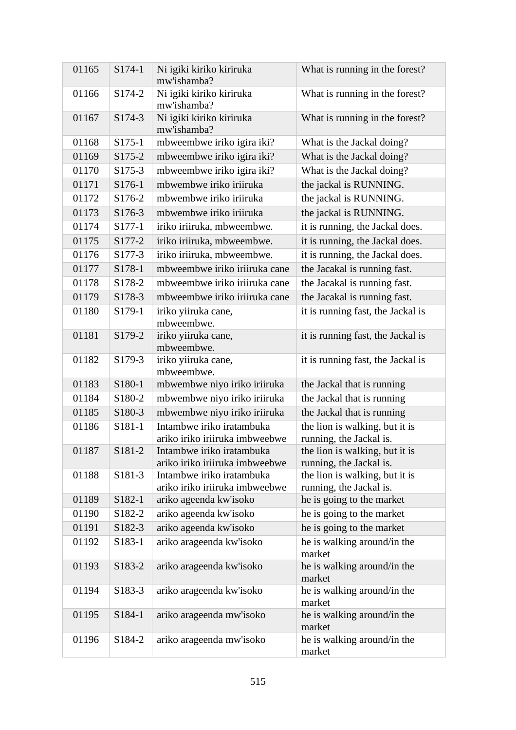| 01165 | S174-1              | Ni igiki kiriko kiriruka<br>mw'ishamba?                     | What is running in the forest?                            |
|-------|---------------------|-------------------------------------------------------------|-----------------------------------------------------------|
| 01166 | S174-2              | Ni igiki kiriko kiriruka<br>mw'ishamba?                     | What is running in the forest?                            |
| 01167 | S174-3              | Ni igiki kiriko kiriruka<br>mw'ishamba?                     | What is running in the forest?                            |
| 01168 | $S175-1$            | mbweembwe iriko igira iki?                                  | What is the Jackal doing?                                 |
| 01169 | S175-2              | mbweembwe iriko igira iki?                                  | What is the Jackal doing?                                 |
| 01170 | S175-3              | mbweembwe iriko igira iki?                                  | What is the Jackal doing?                                 |
| 01171 | S176-1              | mbwembwe iriko iriiruka                                     | the jackal is RUNNING.                                    |
| 01172 | S176-2              | mbwembwe iriko iriiruka                                     | the jackal is RUNNING.                                    |
| 01173 | S176-3              | mbwembwe iriko iriiruka                                     | the jackal is RUNNING.                                    |
| 01174 | S177-1              | iriko iriiruka, mbweembwe.                                  | it is running, the Jackal does.                           |
| 01175 | S177-2              | iriko iriiruka, mbweembwe.                                  | it is running, the Jackal does.                           |
| 01176 | S177-3              | iriko iriiruka, mbweembwe.                                  | it is running, the Jackal does.                           |
| 01177 | S178-1              | mbweembwe iriko iriiruka cane                               | the Jacakal is running fast.                              |
| 01178 | S178-2              | mbweembwe iriko iriiruka cane                               | the Jacakal is running fast.                              |
| 01179 | S178-3              | mbweembwe iriko iriiruka cane                               | the Jacakal is running fast.                              |
| 01180 | S179-1              | iriko yiiruka cane,<br>mbweembwe.                           | it is running fast, the Jackal is                         |
| 01181 | S179-2              | iriko yiiruka cane,<br>mbweembwe.                           | it is running fast, the Jackal is                         |
| 01182 | S179-3              | iriko yiiruka cane,<br>mbweembwe.                           | it is running fast, the Jackal is                         |
| 01183 | S180-1              | mbwembwe niyo iriko iriiruka                                | the Jackal that is running                                |
| 01184 | S180-2              | mbwembwe niyo iriko iriiruka                                | the Jackal that is running                                |
| 01185 | S180-3              | mbwembwe niyo iriko iriiruka                                | the Jackal that is running                                |
| 01186 | S <sub>181</sub> -1 | Intambwe iriko iratambuka<br>ariko iriko iriiruka imbweebwe | the lion is walking, but it is<br>running, the Jackal is. |
| 01187 | S181-2              | Intambwe iriko iratambuka                                   | the lion is walking, but it is                            |
|       |                     | ariko iriko iriiruka imbweebwe                              | running, the Jackal is.                                   |
| 01188 | S181-3              | Intambwe iriko iratambuka<br>ariko iriko iriiruka imbweebwe | the lion is walking, but it is<br>running, the Jackal is. |
| 01189 | S182-1              | ariko ageenda kw'isoko                                      | he is going to the market                                 |
| 01190 | S182-2              | ariko ageenda kw'isoko                                      | he is going to the market                                 |
| 01191 | S182-3              | ariko ageenda kw'isoko                                      | he is going to the market                                 |
| 01192 | S183-1              | ariko arageenda kw'isoko                                    | he is walking around/in the                               |
|       |                     |                                                             | market                                                    |
| 01193 | S183-2              | ariko arageenda kw'isoko                                    | he is walking around/in the<br>market                     |
| 01194 | S183-3              | ariko arageenda kw'isoko                                    | he is walking around/in the<br>market                     |
| 01195 | S184-1              | ariko arageenda mw'isoko                                    | he is walking around/in the<br>market                     |
| 01196 | S184-2              | ariko arageenda mw'isoko                                    | he is walking around/in the<br>market                     |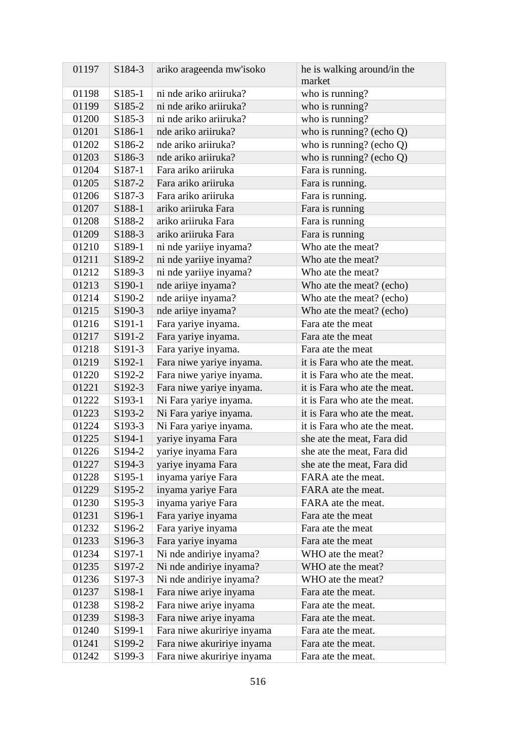| 01197 | S184-3              | ariko arageenda mw'isoko   | he is walking around/in the  |
|-------|---------------------|----------------------------|------------------------------|
|       |                     |                            | market                       |
| 01198 | S <sub>185</sub> -1 | ni nde ariko ariiruka?     | who is running?              |
| 01199 | S185-2              | ni nde ariko ariiruka?     | who is running?              |
| 01200 | S185-3              | ni nde ariko ariiruka?     | who is running?              |
| 01201 | S186-1              | nde ariko ariiruka?        | who is running? (echo Q)     |
| 01202 | S186-2              | nde ariko ariiruka?        | who is running? (echo $Q$ )  |
| 01203 | S186-3              | nde ariko ariiruka?        | who is running? (echo $Q$ )  |
| 01204 | S187-1              | Fara ariko ariiruka        | Fara is running.             |
| 01205 | S187-2              | Fara ariko ariiruka        | Fara is running.             |
| 01206 | S187-3              | Fara ariko ariiruka        | Fara is running.             |
| 01207 | S188-1              | ariko ariiruka Fara        | Fara is running              |
| 01208 | S188-2              | ariko ariiruka Fara        | Fara is running              |
| 01209 | S188-3              | ariko ariiruka Fara        | Fara is running              |
| 01210 | S189-1              | ni nde yariiye inyama?     | Who ate the meat?            |
| 01211 | S189-2              | ni nde yariiye inyama?     | Who ate the meat?            |
| 01212 | S189-3              | ni nde yariiye inyama?     | Who ate the meat?            |
| 01213 | S <sub>190</sub> -1 | nde ariiye inyama?         | Who ate the meat? (echo)     |
| 01214 | S <sub>190</sub> -2 | nde ariiye inyama?         | Who ate the meat? (echo)     |
| 01215 | S190-3              | nde ariiye inyama?         | Who ate the meat? (echo)     |
| 01216 | S <sub>191</sub> -1 | Fara yariye inyama.        | Fara ate the meat            |
| 01217 | S <sub>191</sub> -2 | Fara yariye inyama.        | Fara ate the meat            |
| 01218 | S191-3              | Fara yariye inyama.        | Fara ate the meat            |
| 01219 | S192-1              | Fara niwe yariye inyama.   | it is Fara who ate the meat. |
| 01220 | S <sub>192</sub> -2 | Fara niwe yariye inyama.   | it is Fara who ate the meat. |
| 01221 | S192-3              | Fara niwe yariye inyama.   | it is Fara who ate the meat. |
| 01222 | S193-1              | Ni Fara yariye inyama.     | it is Fara who ate the meat. |
| 01223 | S <sub>193</sub> -2 | Ni Fara yariye inyama.     | it is Fara who ate the meat. |
| 01224 | S <sub>193</sub> -3 | Ni Fara yariye inyama.     | it is Fara who ate the meat. |
| 01225 | S194-1              | yariye inyama Fara         | she ate the meat, Fara did   |
| 01226 | S194-2              | yariye inyama Fara         | she ate the meat, Fara did   |
| 01227 | S <sub>194</sub> -3 | yariye inyama Fara         | she ate the meat, Fara did   |
| 01228 | S <sub>195</sub> -1 | inyama yariye Fara         | FARA ate the meat.           |
| 01229 | S <sub>195</sub> -2 | inyama yariye Fara         | FARA ate the meat.           |
| 01230 | S <sub>195</sub> -3 | inyama yariye Fara         | FARA ate the meat.           |
| 01231 | S196-1              | Fara yariye inyama         | Fara ate the meat            |
| 01232 | S196-2              | Fara yariye inyama         | Fara ate the meat            |
| 01233 | S <sub>196</sub> -3 | Fara yariye inyama         | Fara ate the meat            |
| 01234 | S <sub>197</sub> -1 | Ni nde andiriye inyama?    | WHO ate the meat?            |
| 01235 | S <sub>197</sub> -2 | Ni nde andiriye inyama?    | WHO ate the meat?            |
| 01236 | S <sub>197</sub> -3 | Ni nde andiriye inyama?    | WHO ate the meat?            |
| 01237 | S <sub>198</sub> -1 | Fara niwe ariye inyama     | Fara ate the meat.           |
| 01238 | S <sub>198</sub> -2 | Fara niwe ariye inyama     | Fara ate the meat.           |
| 01239 | S <sub>198</sub> -3 | Fara niwe ariye inyama     | Fara ate the meat.           |
| 01240 | S199-1              | Fara niwe akuririye inyama | Fara ate the meat.           |
| 01241 | S <sub>199</sub> -2 | Fara niwe akuririye inyama | Fara ate the meat.           |
| 01242 | S199-3              | Fara niwe akuririye inyama | Fara ate the meat.           |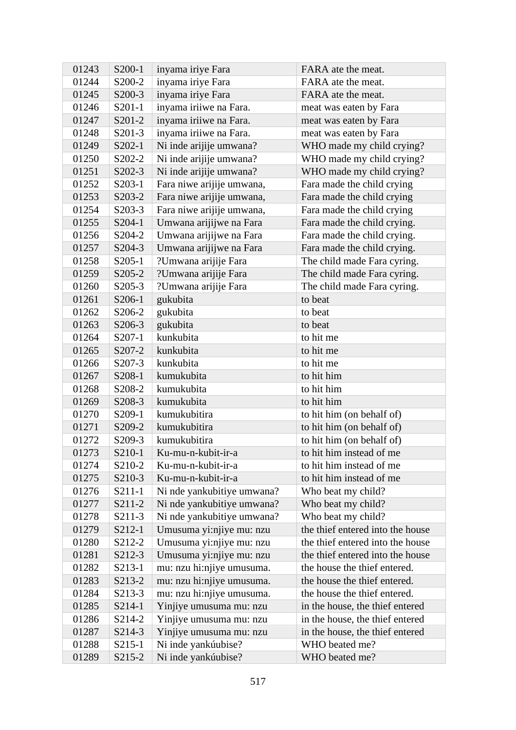| 01243 | S200-1 | inyama iriye Fara          | FARA ate the meat.               |
|-------|--------|----------------------------|----------------------------------|
| 01244 | S200-2 | inyama iriye Fara          | FARA ate the meat.               |
| 01245 | S200-3 | inyama iriye Fara          | FARA ate the meat.               |
| 01246 | S201-1 | inyama iriiwe na Fara.     | meat was eaten by Fara           |
| 01247 | S201-2 | inyama iriiwe na Fara.     | meat was eaten by Fara           |
| 01248 | S201-3 | inyama iriiwe na Fara.     | meat was eaten by Fara           |
| 01249 | S202-1 | Ni inde arijije umwana?    | WHO made my child crying?        |
| 01250 | S202-2 | Ni inde arijije umwana?    | WHO made my child crying?        |
| 01251 | S202-3 | Ni inde arijije umwana?    | WHO made my child crying?        |
| 01252 | S203-1 | Fara niwe arijije umwana,  | Fara made the child crying       |
| 01253 | S203-2 | Fara niwe arijije umwana,  | Fara made the child crying       |
| 01254 | S203-3 | Fara niwe arijije umwana,  | Fara made the child crying       |
| 01255 | S204-1 | Umwana arijijwe na Fara    | Fara made the child crying.      |
| 01256 | S204-2 | Umwana arijijwe na Fara    | Fara made the child crying.      |
| 01257 | S204-3 | Umwana arijijwe na Fara    | Fara made the child crying.      |
| 01258 | S205-1 | ?Umwana arijije Fara       | The child made Fara cyring.      |
| 01259 | S205-2 | ?Umwana arijije Fara       | The child made Fara cyring.      |
| 01260 | S205-3 | ?Umwana arijije Fara       | The child made Fara cyring.      |
| 01261 | S206-1 | gukubita                   | to beat                          |
| 01262 | S206-2 | gukubita                   | to beat                          |
| 01263 | S206-3 | gukubita                   | to beat                          |
| 01264 | S207-1 | kunkubita                  | to hit me                        |
| 01265 | S207-2 | kunkubita                  | to hit me                        |
| 01266 | S207-3 | kunkubita                  | to hit me                        |
| 01267 | S208-1 | kumukubita                 | to hit him                       |
| 01268 | S208-2 | kumukubita                 | to hit him                       |
| 01269 | S208-3 | kumukubita                 | to hit him                       |
| 01270 | S209-1 | kumukubitira               | to hit him (on behalf of)        |
| 01271 | S209-2 | kumukubitira               | to hit him (on behalf of)        |
| 01272 | S209-3 | kumukubitira               | to hit him (on behalf of)        |
| 01273 | S210-1 | Ku-mu-n-kubit-ir-a         | to hit him instead of me         |
| 01274 | S210-2 | Ku-mu-n-kubit-ir-a         | to hit him instead of me         |
| 01275 | S210-3 | Ku-mu-n-kubit-ir-a         | to hit him instead of me         |
| 01276 | S211-1 | Ni nde yankubitiye umwana? | Who beat my child?               |
| 01277 | S211-2 | Ni nde yankubitiye umwana? | Who beat my child?               |
| 01278 | S211-3 | Ni nde yankubitiye umwana? | Who beat my child?               |
| 01279 | S212-1 | Umusuma yi:njiye mu: nzu   | the thief entered into the house |
| 01280 | S212-2 | Umusuma yi:njiye mu: nzu   | the thief entered into the house |
| 01281 | S212-3 | Umusuma yi:njiye mu: nzu   | the thief entered into the house |
| 01282 | S213-1 | mu: nzu hi:njiye umusuma.  | the house the thief entered.     |
| 01283 | S213-2 | mu: nzu hi:njiye umusuma.  | the house the thief entered.     |
| 01284 | S213-3 | mu: nzu hi:njiye umusuma.  | the house the thief entered.     |
| 01285 | S214-1 | Yinjiye umusuma mu: nzu    | in the house, the thief entered  |
| 01286 | S214-2 | Yinjiye umusuma mu: nzu    | in the house, the thief entered  |
| 01287 | S214-3 | Yinjiye umusuma mu: nzu    | in the house, the thief entered  |
| 01288 | S215-1 | Ni inde yankúubise?        | WHO beated me?                   |
| 01289 | S215-2 | Ni inde yankúubise?        | WHO beated me?                   |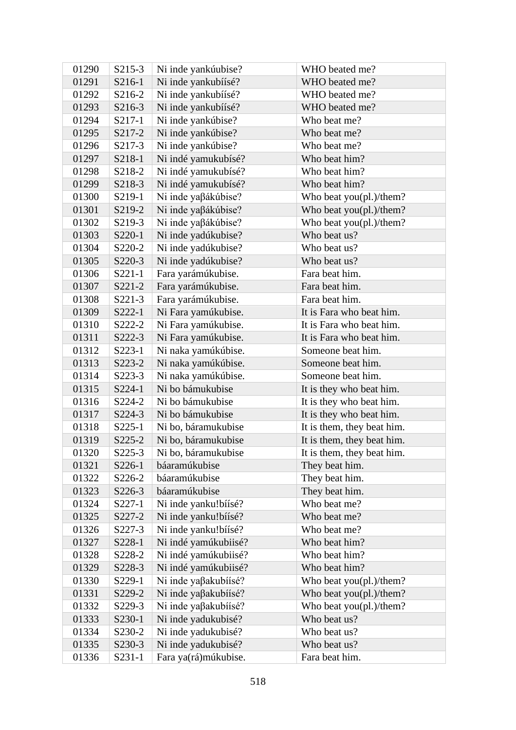| 01290 | $S215-3$            | Ni inde yankúubise?  | WHO beated me?                           |
|-------|---------------------|----------------------|------------------------------------------|
| 01291 | S216-1              | Ni inde yankubíísé?  | WHO beated me?                           |
| 01292 | S216-2              | Ni inde yankubíísé?  | WHO beated me?                           |
| 01293 | S216-3              | Ni inde yankubíísé?  | WHO beated me?                           |
| 01294 | S217-1              | Ni inde yankúbise?   | Who beat me?                             |
| 01295 | S217-2              | Ni inde yankúbise?   | Who beat me?                             |
| 01296 | S217-3              | Ni inde yankúbise?   | Who beat me?                             |
| 01297 | S218-1              | Ni indé yamukubísé?  | Who beat him?                            |
| 01298 | S218-2              | Ni indé yamukubísé?  | Who beat him?                            |
| 01299 | S218-3              | Ni indé yamukubísé?  | Who beat him?                            |
| 01300 | S219-1              | Ni inde yaβákúbise?  | Who beat you(pl.)/them?                  |
| 01301 | S219-2              | Ni inde yaβákúbise?  | Who beat you(pl.)/them?                  |
| 01302 | S219-3              | Ni inde yaβákúbise?  | Who beat you(pl.)/them?                  |
| 01303 | S220-1              | Ni inde yadúkubise?  | Who beat us?                             |
| 01304 | S220-2              | Ni inde yadúkubise?  | Who beat us?                             |
| 01305 | S220-3              | Ni inde yadúkubise?  | Who beat us?                             |
| 01306 | $S221-1$            | Fara yarámúkubise.   | Fara beat him.                           |
| 01307 | S221-2              | Fara yarámúkubise.   | Fara beat him.                           |
| 01308 | S221-3              | Fara yarámúkubise.   | Fara beat him.                           |
| 01309 | S222-1              | Ni Fara yamúkubise.  | It is Fara who beat him.                 |
| 01310 | S222-2              | Ni Fara yamúkubise.  | It is Fara who beat him.                 |
| 01311 | S222-3              | Ni Fara yamúkubise.  | It is Fara who beat him.                 |
| 01312 | S223-1              | Ni naka yamúkúbise.  | Someone beat him.                        |
| 01313 | S223-2              | Ni naka yamúkúbise.  | Someone beat him.                        |
| 01314 | S223-3              | Ni naka yamúkúbise.  | Someone beat him.                        |
| 01315 | S224-1              | Ni bo bámukubise     | It is they who beat him.                 |
| 01316 | S224-2              | Ni bo bámukubise     | It is they who beat him.                 |
| 01317 | S224-3              | Ni bo bámukubise     | It is they who beat him.                 |
| 01318 | $S225-1$            | Ni bo, báramukubise  | It is them, they beat him.               |
| 01319 | S225-2              | Ni bo, báramukubise  | It is them, they beat him.               |
| 01320 | S225-3              | Ni bo, báramukubise  | It is them, they beat him.               |
| 01321 | S226-1              | báaramúkubise        | They beat him.                           |
| 01322 | S226-2              | báaramúkubise        | They beat him.                           |
| 01323 | S226-3              | báaramúkubise        | They beat him.                           |
| 01324 | S227-1              | Ni inde yanku!bíísé? | Who beat me?                             |
| 01325 | S227-2              | Ni inde yanku!bíísé? | Who beat me?                             |
| 01326 | S227-3              | Ni inde yanku!bíísé? | Who beat me?                             |
| 01327 | S228-1              | Ni indé yamúkubiisé? | Who beat him?                            |
| 01328 | S228-2              | Ni indé yamúkubiisé? | Who beat him?                            |
| 01329 | S228-3              | Ni indé yamúkubiisé? | Who beat him?                            |
| 01330 | S229-1              | Ni inde yaβakubíísé? | Who beat you $\text{(pl.)}/\text{them?}$ |
| 01331 | S229-2              | Ni inde yaβakubíísé? | Who beat you(pl.)/them?                  |
| 01332 | S229-3              | Ni inde yaβakubíísé? | Who beat you(pl.)/them?                  |
| 01333 | S230-1              | Ni inde yadukubisé?  | Who beat us?                             |
| 01334 | S <sub>230</sub> -2 | Ni inde yadukubisé?  | Who beat us?                             |
| 01335 | S230-3              | Ni inde yadukubisé?  | Who beat us?                             |
| 01336 | S231-1              | Fara ya(rá)múkubise. | Fara beat him.                           |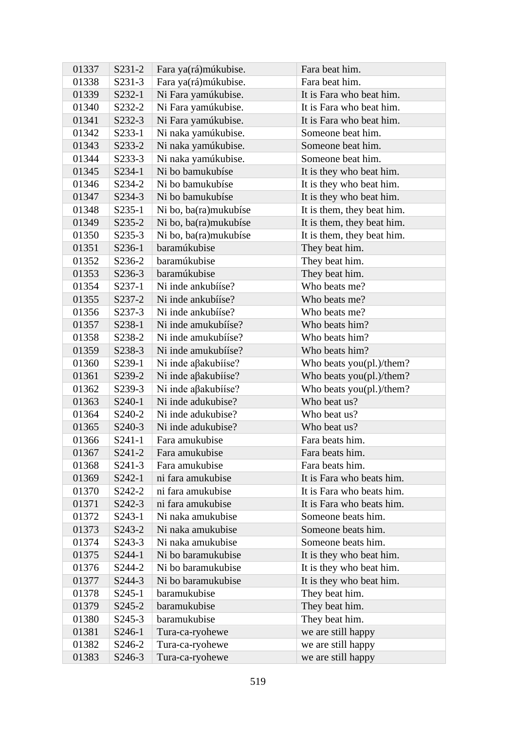| 01337 | S231-2              | Fara ya(rá)múkubise.   | Fara beat him.             |
|-------|---------------------|------------------------|----------------------------|
| 01338 | S231-3              | Fara ya(rá)múkubise.   | Fara beat him.             |
| 01339 | S232-1              | Ni Fara yamúkubise.    | It is Fara who beat him.   |
| 01340 | S232-2              | Ni Fara yamúkubise.    | It is Fara who beat him.   |
| 01341 | S232-3              | Ni Fara yamúkubise.    | It is Fara who beat him.   |
| 01342 | S233-1              | Ni naka yamúkubise.    | Someone beat him.          |
| 01343 | S233-2              | Ni naka yamúkubise.    | Someone beat him.          |
| 01344 | S233-3              | Ni naka yamúkubise.    | Someone beat him.          |
| 01345 | $S234-1$            | Ni bo bamukubíse       | It is they who beat him.   |
| 01346 | S234-2              | Ni bo bamukubíse       | It is they who beat him.   |
| 01347 | S234-3              | Ni bo bamukubíse       | It is they who beat him.   |
| 01348 | $S235-1$            | Ni bo, ba(ra) mukubíse | It is them, they beat him. |
| 01349 | S235-2              | Ni bo, ba(ra)mukubíse  | It is them, they beat him. |
| 01350 | $S235-3$            | Ni bo, ba(ra)mukubíse  | It is them, they beat him. |
| 01351 | S236-1              | baramúkubise           | They beat him.             |
| 01352 | S236-2              | baramúkubise           | They beat him.             |
| 01353 | S236-3              | baramúkubise           | They beat him.             |
| 01354 | $S237-1$            | Ni inde ankubííse?     | Who beats me?              |
| 01355 | S237-2              | Ni inde ankubííse?     | Who beats me?              |
| 01356 | S237-3              | Ni inde ankubííse?     | Who beats me?              |
| 01357 | S238-1              | Ni inde amukubííse?    | Who beats him?             |
| 01358 | S238-2              | Ni inde amukubííse?    | Who beats him?             |
| 01359 | S238-3              | Ni inde amukubííse?    | Who beats him?             |
| 01360 | S239-1              | Ni inde aβakubííse?    | Who beats you(pl.)/them?   |
| 01361 | S239-2              | Ni inde aβakubííse?    | Who beats you(pl.)/them?   |
| 01362 | S239-3              | Ni inde aβakubííse?    | Who beats you(pl.)/them?   |
| 01363 | S240-1              | Ni inde adukubise?     | Who beat us?               |
| 01364 | S240-2              | Ni inde adukubise?     | Who beat us?               |
| 01365 | S240-3              | Ni inde adukubise?     | Who beat us?               |
| 01366 | S241-1              | Fara amukubise         | Fara beats him.            |
| 01367 | S241-2              | Fara amukubise         | Fara beats him.            |
| 01368 | S241-3              | Fara amukubise         | Fara beats him.            |
| 01369 | S242-1              | ni fara amukubise      | It is Fara who beats him.  |
| 01370 | S242-2              | ni fara amukubise      | It is Fara who beats him.  |
| 01371 | S242-3              | ni fara amukubise      | It is Fara who beats him.  |
| 01372 | S243-1              | Ni naka amukubise      | Someone beats him.         |
| 01373 | S243-2              | Ni naka amukubise      | Someone beats him.         |
| 01374 | S243-3              | Ni naka amukubise      | Someone beats him.         |
| 01375 | S244-1              | Ni bo baramukubise     | It is they who beat him.   |
| 01376 | S244-2              | Ni bo baramukubise     | It is they who beat him.   |
| 01377 | S244-3              | Ni bo baramukubise     | It is they who beat him.   |
| 01378 | S245-1              | baramukubise           | They beat him.             |
| 01379 | S245-2              | baramukubise           | They beat him.             |
| 01380 | S245-3              | baramukubise           | They beat him.             |
| 01381 | S246-1              | Tura-ca-ryohewe        | we are still happy         |
| 01382 | S <sub>246</sub> -2 | Tura-ca-ryohewe        | we are still happy         |
| 01383 | S246-3              | Tura-ca-ryohewe        | we are still happy         |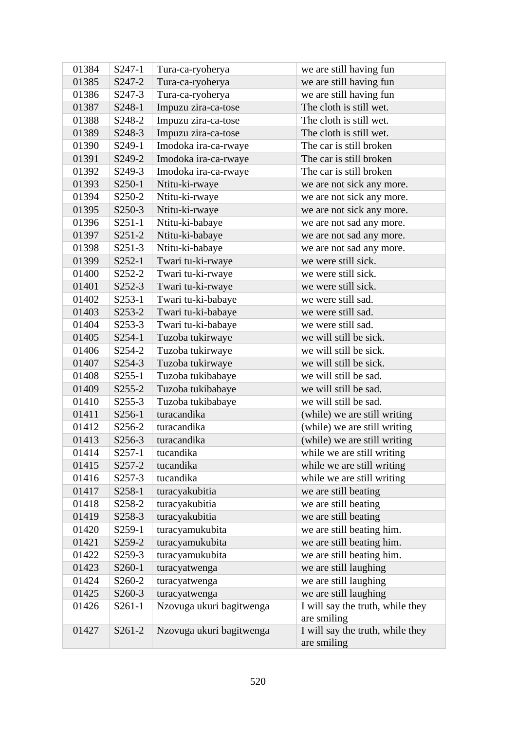| 01384 | S247-1              | Tura-ca-ryoherya         | we are still having fun          |
|-------|---------------------|--------------------------|----------------------------------|
| 01385 | S247-2              | Tura-ca-ryoherya         | we are still having fun          |
| 01386 | S247-3              | Tura-ca-ryoherya         | we are still having fun          |
| 01387 | S248-1              | Impuzu zira-ca-tose      | The cloth is still wet.          |
| 01388 | S248-2              | Impuzu zira-ca-tose      | The cloth is still wet.          |
| 01389 | S248-3              | Impuzu zira-ca-tose      | The cloth is still wet.          |
| 01390 | S249-1              | Imodoka ira-ca-rwaye     | The car is still broken          |
| 01391 | S249-2              | Imodoka ira-ca-rwaye     | The car is still broken          |
| 01392 | S249-3              | Imodoka ira-ca-rwaye     | The car is still broken          |
| 01393 | S250-1              | Ntitu-ki-rwaye           | we are not sick any more.        |
| 01394 | S250-2              | Ntitu-ki-rwaye           | we are not sick any more.        |
| 01395 | S250-3              | Ntitu-ki-rwaye           | we are not sick any more.        |
| 01396 | $S251-1$            | Ntitu-ki-babaye          | we are not sad any more.         |
| 01397 | $S251-2$            | Ntitu-ki-babaye          | we are not sad any more.         |
| 01398 | $S251-3$            | Ntitu-ki-babaye          | we are not sad any more.         |
| 01399 | $S252-1$            | Twari tu-ki-rwaye        | we were still sick.              |
| 01400 | S <sub>252</sub> -2 | Twari tu-ki-rwaye        | we were still sick.              |
| 01401 | S252-3              | Twari tu-ki-rwaye        | we were still sick.              |
| 01402 | $S253-1$            | Twari tu-ki-babaye       | we were still sad.               |
| 01403 | S253-2              | Twari tu-ki-babaye       | we were still sad.               |
| 01404 | S253-3              | Twari tu-ki-babaye       | we were still sad.               |
| 01405 | S254-1              | Tuzoba tukirwaye         | we will still be sick.           |
| 01406 | S254-2              | Tuzoba tukirwaye         | we will still be sick.           |
| 01407 | S254-3              | Tuzoba tukirwaye         | we will still be sick.           |
| 01408 | $S255-1$            | Tuzoba tukibabaye        | we will still be sad.            |
| 01409 | S255-2              | Tuzoba tukibabaye        | we will still be sad.            |
| 01410 | $S255-3$            | Tuzoba tukibabaye        | we will still be sad.            |
| 01411 | S256-1              | turacandika              | (while) we are still writing     |
| 01412 | S <sub>256</sub> -2 | turacandika              | (while) we are still writing     |
| 01413 | S256-3              | turacandika              | (while) we are still writing     |
| 01414 | $S257-1$            | tucandika                | while we are still writing       |
| 01415 | S257-2              | tucandika                | while we are still writing       |
| 01416 | $S257-3$            | tucandika                | while we are still writing       |
| 01417 | S258-1              | turacyakubitia           | we are still beating             |
| 01418 | S258-2              | turacyakubitia           | we are still beating             |
| 01419 | S258-3              | turacyakubitia           | we are still beating             |
| 01420 | S259-1              | turacyamukubita          | we are still beating him.        |
| 01421 | S259-2              | turacyamukubita          | we are still beating him.        |
| 01422 | S259-3              | turacyamukubita          | we are still beating him.        |
| 01423 | S260-1              | turacyatwenga            | we are still laughing            |
| 01424 | S260-2              | turacyatwenga            | we are still laughing            |
| 01425 | S260-3              | turacyatwenga            | we are still laughing            |
| 01426 | $S261-1$            | Nzovuga ukuri bagitwenga | I will say the truth, while they |
|       |                     |                          | are smiling                      |
| 01427 | S261-2              | Nzovuga ukuri bagitwenga | I will say the truth, while they |
|       |                     |                          | are smiling                      |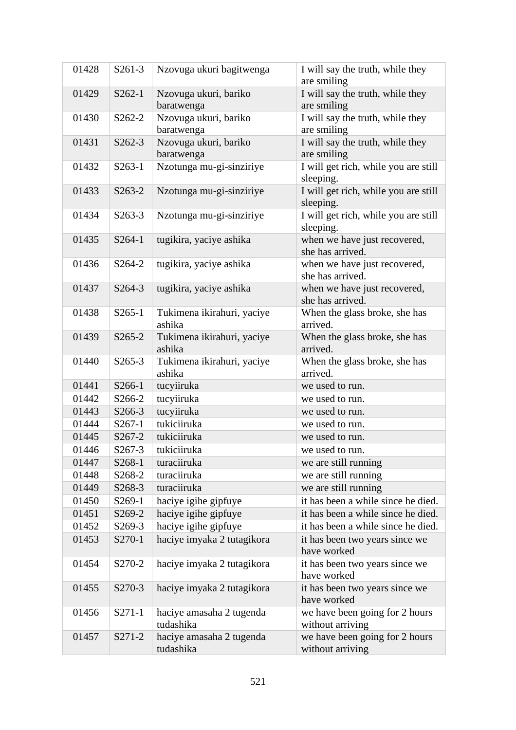| 01428 | $S261-3$ | Nzovuga ukuri bagitwenga              | I will say the truth, while they<br>are smiling    |
|-------|----------|---------------------------------------|----------------------------------------------------|
| 01429 | S262-1   | Nzovuga ukuri, bariko<br>baratwenga   | I will say the truth, while they<br>are smiling    |
| 01430 | S262-2   | Nzovuga ukuri, bariko<br>baratwenga   | I will say the truth, while they<br>are smiling    |
| 01431 | S262-3   | Nzovuga ukuri, bariko<br>baratwenga   | I will say the truth, while they<br>are smiling    |
| 01432 | $S263-1$ | Nzotunga mu-gi-sinziriye              | I will get rich, while you are still<br>sleeping.  |
| 01433 | S263-2   | Nzotunga mu-gi-sinziriye              | I will get rich, while you are still<br>sleeping.  |
| 01434 | $S263-3$ | Nzotunga mu-gi-sinziriye              | I will get rich, while you are still<br>sleeping.  |
| 01435 | S264-1   | tugikira, yaciye ashika               | when we have just recovered,<br>she has arrived.   |
| 01436 | S264-2   | tugikira, yaciye ashika               | when we have just recovered,<br>she has arrived.   |
| 01437 | S264-3   | tugikira, yaciye ashika               | when we have just recovered,<br>she has arrived.   |
| 01438 | $S265-1$ | Tukimena ikirahuri, yaciye<br>ashika  | When the glass broke, she has<br>arrived.          |
| 01439 | $S265-2$ | Tukimena ikirahuri, yaciye<br>ashika  | When the glass broke, she has<br>arrived.          |
| 01440 | $S265-3$ | Tukimena ikirahuri, yaciye<br>ashika  | When the glass broke, she has<br>arrived.          |
| 01441 | S266-1   | tucyiiruka                            | we used to run.                                    |
| 01442 | S266-2   | tucyiiruka                            | we used to run.                                    |
| 01443 | S266-3   | tucyiiruka                            | we used to run.                                    |
| 01444 | $S267-1$ | tukiciiruka                           | we used to run.                                    |
| 01445 | S267-2   | tukiciiruka                           | we used to run.                                    |
| 01446 | S267-3   | tukiciiruka                           | we used to run                                     |
| 01447 | S268-1   | turaciiruka                           | we are still running                               |
| 01448 | S268-2   | turaciiruka                           | we are still running                               |
| 01449 | S268-3   | turaciiruka                           | we are still running                               |
| 01450 | S269-1   | haciye igihe gipfuye                  | it has been a while since he died.                 |
| 01451 | S269-2   | haciye igihe gipfuye                  | it has been a while since he died.                 |
| 01452 | S269-3   | haciye igihe gipfuye                  | it has been a while since he died.                 |
| 01453 | S270-1   | haciye imyaka 2 tutagikora            | it has been two years since we<br>have worked      |
| 01454 | S270-2   | haciye imyaka 2 tutagikora            | it has been two years since we<br>have worked      |
| 01455 | S270-3   | haciye imyaka 2 tutagikora            | it has been two years since we<br>have worked      |
| 01456 | S271-1   | haciye amasaha 2 tugenda<br>tudashika | we have been going for 2 hours<br>without arriving |
| 01457 | S271-2   | haciye amasaha 2 tugenda<br>tudashika | we have been going for 2 hours<br>without arriving |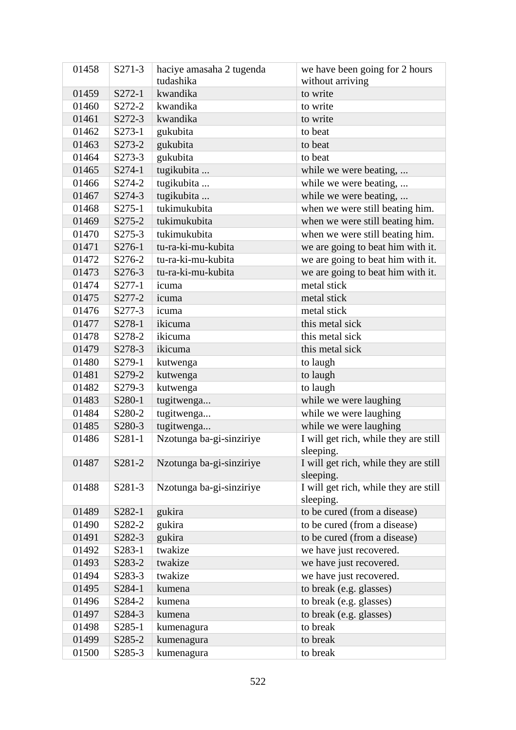| 01458 | $S271-3$            | haciye amasaha 2 tugenda | we have been going for 2 hours                     |
|-------|---------------------|--------------------------|----------------------------------------------------|
|       |                     | tudashika                | without arriving                                   |
| 01459 | S272-1              | kwandika                 | to write                                           |
| 01460 | S272-2              | kwandika                 | to write                                           |
| 01461 | S272-3              | kwandika                 | to write                                           |
| 01462 | S273-1              | gukubita                 | to beat                                            |
| 01463 | S273-2              | gukubita                 | to beat                                            |
| 01464 | S273-3              | gukubita                 | to beat                                            |
| 01465 | S274-1              | tugikubita               | while we were beating,                             |
| 01466 | S274-2              | tugikubita               | while we were beating,                             |
| 01467 | S274-3              | tugikubita               | while we were beating,                             |
| 01468 | $S275-1$            | tukimukubita             | when we were still beating him.                    |
| 01469 | S275-2              | tukimukubita             | when we were still beating him.                    |
| 01470 | S275-3              | tukimukubita             | when we were still beating him.                    |
| 01471 | S276-1              | tu-ra-ki-mu-kubita       | we are going to beat him with it.                  |
| 01472 | S276-2              | tu-ra-ki-mu-kubita       | we are going to beat him with it.                  |
| 01473 | S276-3              | tu-ra-ki-mu-kubita       | we are going to beat him with it.                  |
| 01474 | S277-1              | icuma                    | metal stick                                        |
| 01475 | S277-2              | icuma                    | metal stick                                        |
| 01476 | S277-3              | icuma                    | metal stick                                        |
| 01477 | S278-1              | ikicuma                  | this metal sick                                    |
| 01478 | S278-2              | ikicuma                  | this metal sick                                    |
| 01479 | S278-3              | ikicuma                  | this metal sick                                    |
| 01480 | S279-1              | kutwenga                 | to laugh                                           |
| 01481 | S279-2              | kutwenga                 | to laugh                                           |
| 01482 | S279-3              | kutwenga                 | to laugh                                           |
| 01483 | S280-1              | tugitwenga               | while we were laughing                             |
| 01484 | S <sub>280</sub> -2 | tugitwenga               | while we were laughing                             |
| 01485 | S280-3              | tugitwenga               | while we were laughing                             |
| 01486 | S281-1              | Nzotunga ba-gi-sinziriye | I will get rich, while they are still<br>sleeping. |
| 01487 | S281-2              | Nzotunga ba-gi-sinziriye | I will get rich, while they are still<br>sleeping. |
| 01488 | S281-3              | Nzotunga ba-gi-sinziriye | I will get rich, while they are still<br>sleeping. |
| 01489 | S282-1              | gukira                   | to be cured (from a disease)                       |
| 01490 | S282-2              | gukira                   | to be cured (from a disease)                       |
| 01491 | S282-3              | gukira                   | to be cured (from a disease)                       |
| 01492 | S283-1              | twakize                  | we have just recovered.                            |
| 01493 | S283-2              | twakize                  | we have just recovered.                            |
| 01494 | S283-3              | twakize                  | we have just recovered.                            |
| 01495 | S284-1              | kumena                   | to break (e.g. glasses)                            |
| 01496 | S284-2              | kumena                   | to break (e.g. glasses)                            |
| 01497 | S284-3              | kumena                   | to break (e.g. glasses)                            |
| 01498 | S285-1              | kumenagura               | to break                                           |
| 01499 | S285-2              | kumenagura               | to break                                           |
| 01500 | S <sub>2</sub> 85-3 | kumenagura               | to break                                           |